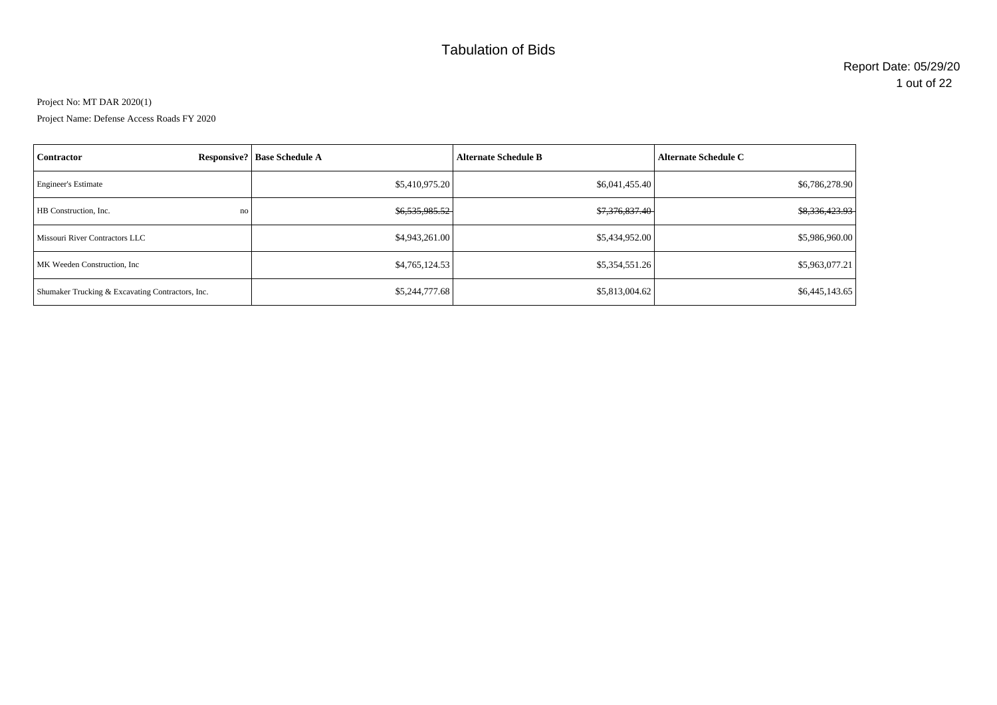# Tabulation of Bids

Project No: MT DAR 2020(1)

Project Name: Defense Access Roads FY 2020

| Contractor                                       | <b>Responsive?</b> Base Schedule A | <b>Alternate Schedule B</b> | <b>Alternate Schedule C</b> |
|--------------------------------------------------|------------------------------------|-----------------------------|-----------------------------|
| <b>Engineer's Estimate</b>                       | \$5,410,975.20                     | \$6,041,455.40              | \$6,786,278.90              |
| <b>HB</b> Construction, Inc.<br>no               | \$6,535,985.52                     | \$7,376,837.40              | \$8,336,423.93              |
| Missouri River Contractors LLC                   | \$4,943,261.00                     | \$5,434,952.00              | \$5,986,960.00              |
| MK Weeden Construction, Inc.                     | \$4,765,124.53                     | \$5,354,551.26              | \$5,963,077.21              |
| Shumaker Trucking & Excavating Contractors, Inc. | \$5,244,777.68                     | \$5,813,004.62              | \$6,445,143.65              |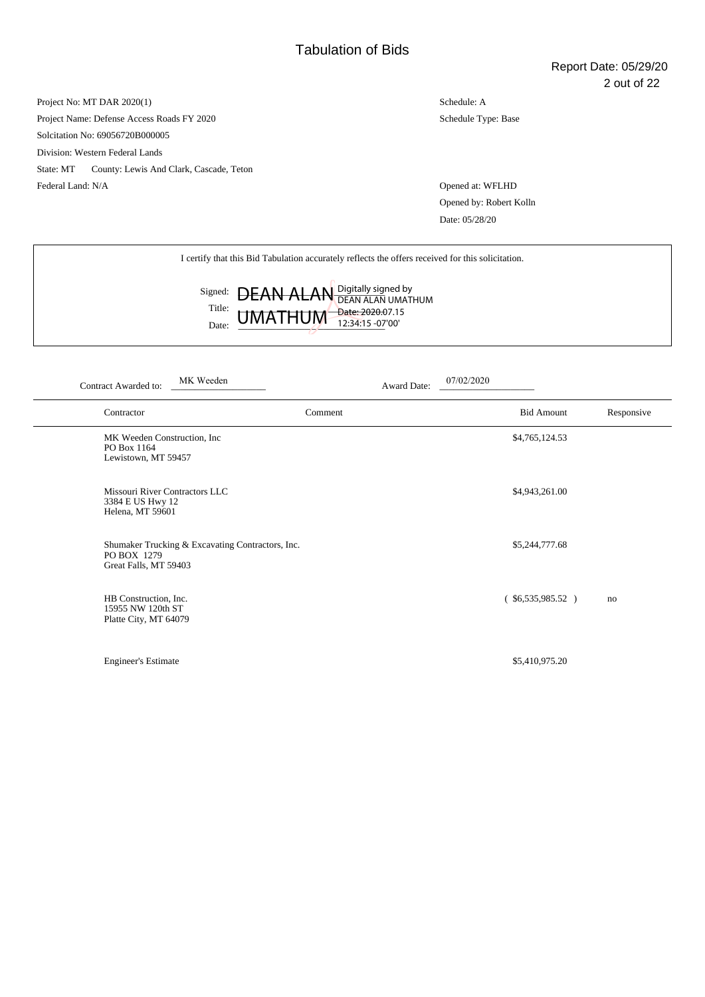Project No: MT DAR 2020(1) Project Name: Defense Access Roads FY 2020 Solcitation No: 69056720B000005 Division: Western Federal Lands State: MT County: Lewis And Clark, Cascade, Teton Federal Land: N/A Opened at: WFLHD

Schedule: A Schedule Type: Base

Opened by: Robert Kolln Date: 05/28/20

I certify that this Bid Tabulation accurately reflects the offers received for this solicitation.

|                 |                             | Signed: <b>DEAN ALAN</b> Digitally signed by |
|-----------------|-----------------------------|----------------------------------------------|
| Title:<br>Date: | $UMATHUM_{12:34:15-07'00'}$ |                                              |

| MK Weeden<br>Contract Awarded to:                                                        | Award Date: | 07/02/2020             |            |
|------------------------------------------------------------------------------------------|-------------|------------------------|------------|
| Contractor                                                                               | Comment     | <b>Bid Amount</b>      | Responsive |
| MK Weeden Construction, Inc.<br>PO Box 1164<br>Lewistown, MT 59457                       |             | \$4,765,124.53         |            |
| Missouri River Contractors LLC<br>3384 E US Hwy 12<br>Helena, MT 59601                   |             | \$4,943,261.00         |            |
| Shumaker Trucking & Excavating Contractors, Inc.<br>PO BOX 1279<br>Great Falls, MT 59403 |             | \$5,244,777.68         |            |
| HB Construction, Inc.<br>15955 NW 120th ST<br>Platte City, MT 64079                      |             | $($ \$6,535,985.52 $)$ | no         |
| <b>Engineer's Estimate</b>                                                               |             | \$5,410,975.20         |            |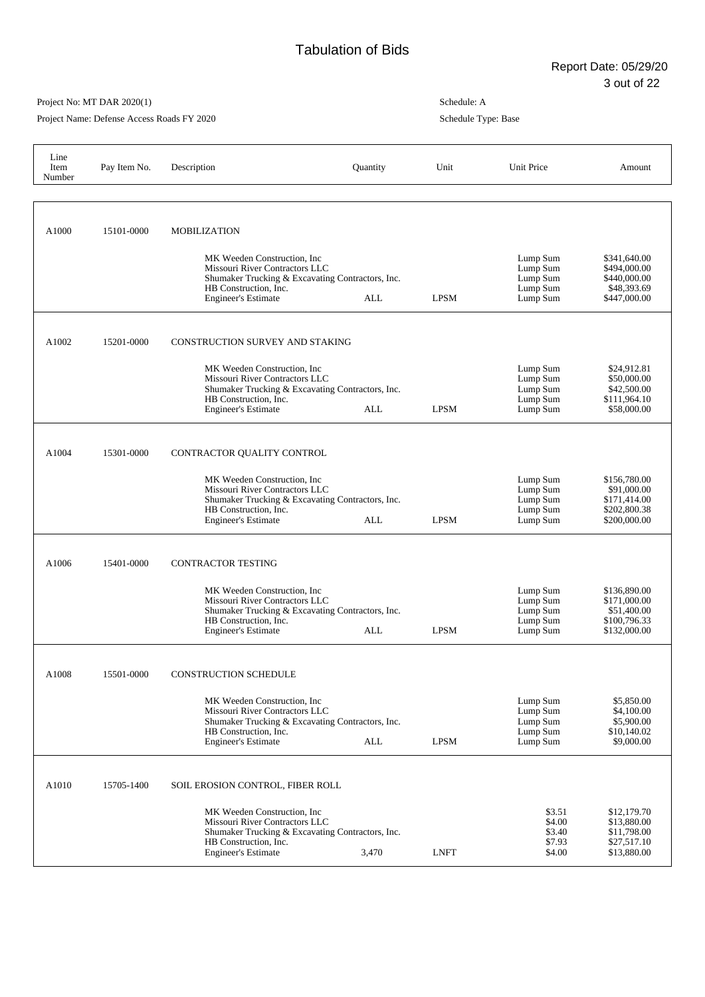Project Name: Defense Access Roads FY 2020

| Line<br>Item<br>Number | Pay Item No. | Description                                                                                                                                                               | Quantity | Unit        | Unit Price                                               | Amount                                                                      |
|------------------------|--------------|---------------------------------------------------------------------------------------------------------------------------------------------------------------------------|----------|-------------|----------------------------------------------------------|-----------------------------------------------------------------------------|
|                        |              |                                                                                                                                                                           |          |             |                                                          |                                                                             |
| A1000                  | 15101-0000   | <b>MOBILIZATION</b><br>MK Weeden Construction, Inc.                                                                                                                       |          |             | Lump Sum                                                 | \$341,640.00                                                                |
|                        |              | Missouri River Contractors LLC<br>Shumaker Trucking & Excavating Contractors, Inc.<br>HB Construction, Inc.<br>Engineer's Estimate                                        | ALL      | <b>LPSM</b> | Lump Sum<br>Lump Sum<br>Lump Sum<br>Lump Sum             | \$494,000.00<br>\$440,000.00<br>\$48,393.69<br>\$447,000.00                 |
| A1002                  | 15201-0000   | CONSTRUCTION SURVEY AND STAKING                                                                                                                                           |          |             |                                                          |                                                                             |
|                        |              | MK Weeden Construction, Inc.<br>Missouri River Contractors LLC<br>Shumaker Trucking & Excavating Contractors, Inc.<br>HB Construction, Inc.<br><b>Engineer's Estimate</b> | ALL      | <b>LPSM</b> | Lump Sum<br>Lump Sum<br>Lump Sum<br>Lump Sum<br>Lump Sum | \$24,912.81<br>\$50,000.00<br>\$42,500.00<br>\$111,964.10<br>\$58,000.00    |
| A1004                  | 15301-0000   | CONTRACTOR QUALITY CONTROL                                                                                                                                                |          |             |                                                          |                                                                             |
|                        |              | MK Weeden Construction, Inc.<br>Missouri River Contractors LLC<br>Shumaker Trucking & Excavating Contractors, Inc.<br>HB Construction, Inc.<br><b>Engineer's Estimate</b> | ALL      | <b>LPSM</b> | Lump Sum<br>Lump Sum<br>Lump Sum<br>Lump Sum<br>Lump Sum | \$156,780.00<br>\$91,000.00<br>\$171,414.00<br>\$202,800.38<br>\$200,000.00 |
| A1006                  | 15401-0000   | <b>CONTRACTOR TESTING</b>                                                                                                                                                 |          |             |                                                          |                                                                             |
|                        |              | MK Weeden Construction, Inc.<br>Missouri River Contractors LLC<br>Shumaker Trucking & Excavating Contractors, Inc.<br>HB Construction, Inc.<br><b>Engineer's Estimate</b> | ALL      | <b>LPSM</b> | Lump Sum<br>Lump Sum<br>Lump Sum<br>Lump Sum<br>Lump Sum | \$136,890.00<br>\$171,000.00<br>\$51,400.00<br>\$100,796.33<br>\$132,000.00 |
| A1008                  | 15501-0000   | CONSTRUCTION SCHEDULE                                                                                                                                                     |          |             |                                                          |                                                                             |
|                        |              | MK Weeden Construction, Inc.<br>Missouri River Contractors LLC<br>Shumaker Trucking & Excavating Contractors, Inc.<br>HB Construction, Inc.<br><b>Engineer's Estimate</b> | ALL      | <b>LPSM</b> | Lump Sum<br>Lump Sum<br>Lump Sum<br>Lump Sum<br>Lump Sum | \$5,850.00<br>\$4,100.00<br>\$5,900.00<br>\$10,140.02<br>\$9,000.00         |
| A1010                  | 15705-1400   | SOIL EROSION CONTROL, FIBER ROLL                                                                                                                                          |          |             |                                                          |                                                                             |
|                        |              | MK Weeden Construction, Inc.<br>Missouri River Contractors LLC<br>Shumaker Trucking & Excavating Contractors, Inc.<br>HB Construction, Inc.<br><b>Engineer's Estimate</b> | 3,470    | <b>LNFT</b> | \$3.51<br>\$4.00<br>\$3.40<br>\$7.93<br>\$4.00           | \$12,179.70<br>\$13,880.00<br>\$11,798.00<br>\$27,517.10<br>\$13,880.00     |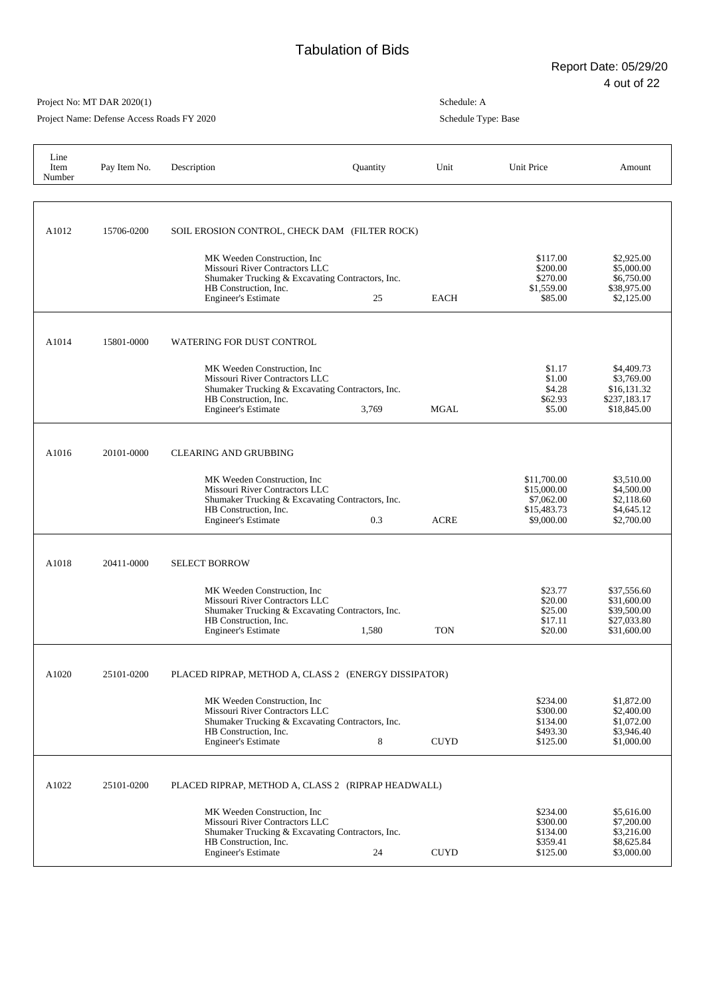٦

## Project No: MT DAR 2020(1)

Project Name: Defense Access Roads FY 2020

| Line<br>Item<br>Number | Pay Item No. | Description                                                                                                                                                               | Quantity | Unit        | Unit Price                                                            | Amount                                                                  |
|------------------------|--------------|---------------------------------------------------------------------------------------------------------------------------------------------------------------------------|----------|-------------|-----------------------------------------------------------------------|-------------------------------------------------------------------------|
|                        |              |                                                                                                                                                                           |          |             |                                                                       |                                                                         |
| A1012                  | 15706-0200   | SOIL EROSION CONTROL, CHECK DAM (FILTER ROCK)                                                                                                                             |          |             |                                                                       |                                                                         |
|                        |              | MK Weeden Construction, Inc.<br>Missouri River Contractors LLC<br>Shumaker Trucking & Excavating Contractors, Inc.<br>HB Construction, Inc.<br><b>Engineer's Estimate</b> | 25       | <b>EACH</b> | \$117.00<br>\$200.00<br>\$270.00<br>\$1,559.00<br>\$85.00             | \$2,925.00<br>\$5,000.00<br>\$6,750.00<br>\$38,975.00<br>\$2,125.00     |
| A1014                  | 15801-0000   | <b>WATERING FOR DUST CONTROL</b>                                                                                                                                          |          |             |                                                                       |                                                                         |
|                        |              | MK Weeden Construction, Inc<br>Missouri River Contractors LLC<br>Shumaker Trucking & Excavating Contractors, Inc.<br>HB Construction, Inc.<br><b>Engineer's Estimate</b>  | 3,769    | <b>MGAL</b> | \$1.17<br>\$1.00<br>\$4.28<br>\$62.93<br>\$5.00                       | \$4,409.73<br>\$3,769.00<br>\$16,131.32<br>\$237,183.17<br>\$18,845.00  |
| A1016                  | 20101-0000   | <b>CLEARING AND GRUBBING</b>                                                                                                                                              |          |             |                                                                       |                                                                         |
|                        |              | MK Weeden Construction, Inc.<br>Missouri River Contractors LLC<br>Shumaker Trucking & Excavating Contractors, Inc.<br>HB Construction, Inc.<br><b>Engineer's Estimate</b> | 0.3      | <b>ACRE</b> | \$11,700.00<br>\$15,000.00<br>\$7,062.00<br>\$15,483.73<br>\$9,000.00 | \$3,510.00<br>\$4,500.00<br>\$2,118.60<br>\$4,645.12<br>\$2,700.00      |
| A <sub>1018</sub>      | 20411-0000   | <b>SELECT BORROW</b>                                                                                                                                                      |          |             |                                                                       |                                                                         |
|                        |              | MK Weeden Construction, Inc.<br>Missouri River Contractors LLC<br>Shumaker Trucking & Excavating Contractors, Inc.<br>HB Construction, Inc.<br><b>Engineer's Estimate</b> | 1,580    | <b>TON</b>  | \$23.77<br>\$20.00<br>\$25.00<br>\$17.11<br>\$20.00                   | \$37,556.60<br>\$31,600.00<br>\$39,500.00<br>\$27,033.80<br>\$31,600.00 |
| A1020                  | 25101-0200   | PLACED RIPRAP, METHOD A, CLASS 2 (ENERGY DISSIPATOR)                                                                                                                      |          |             |                                                                       |                                                                         |
|                        |              | MK Weeden Construction, Inc.<br>Missouri River Contractors LLC<br>Shumaker Trucking & Excavating Contractors, Inc.<br>HB Construction, Inc.<br><b>Engineer's Estimate</b> | 8        | <b>CUYD</b> | \$234.00<br>\$300.00<br>\$134.00<br>\$493.30<br>\$125.00              | \$1,872.00<br>\$2,400.00<br>\$1,072.00<br>\$3,946.40<br>\$1,000.00      |
| A1022                  | 25101-0200   | PLACED RIPRAP, METHOD A, CLASS 2 (RIPRAP HEADWALL)                                                                                                                        |          |             |                                                                       |                                                                         |
|                        |              | MK Weeden Construction, Inc.<br>Missouri River Contractors LLC<br>Shumaker Trucking & Excavating Contractors, Inc.<br>HB Construction, Inc.<br><b>Engineer's Estimate</b> | 24       | <b>CUYD</b> | \$234.00<br>\$300.00<br>\$134.00<br>\$359.41<br>\$125.00              | \$5,616.00<br>\$7,200.00<br>\$3,216.00<br>\$8,625.84<br>\$3,000.00      |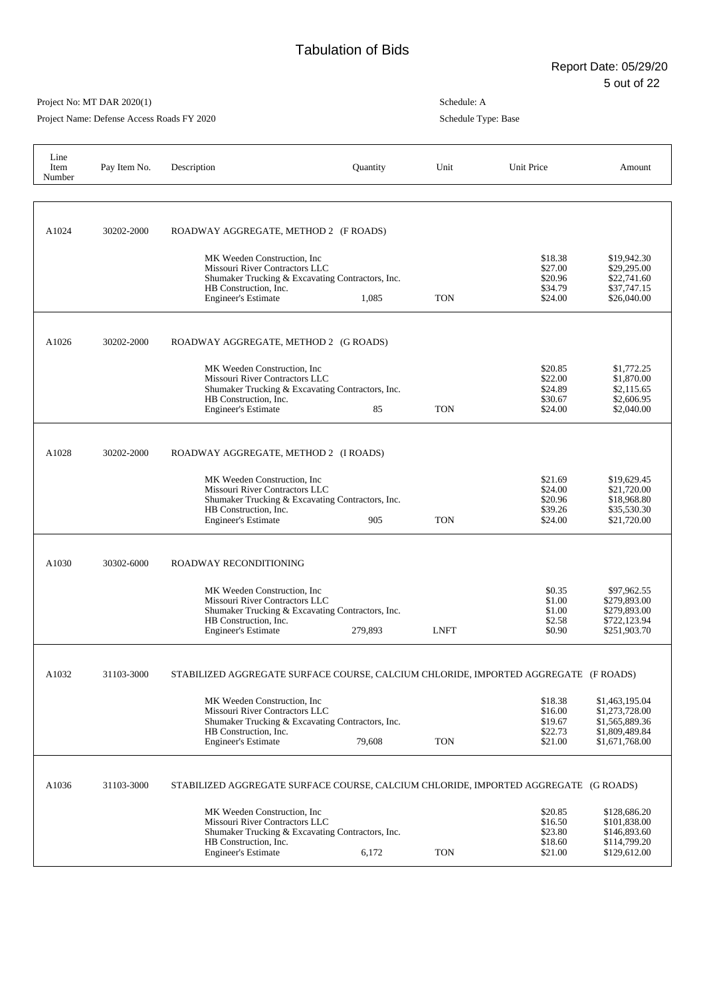Project Name: Defense Access Roads FY 2020

| Line<br>Item<br>Number | Pay Item No. | Description                                                                                                                                                                         | Quantity | Unit        | Unit Price                                          | Amount                                                                                 |
|------------------------|--------------|-------------------------------------------------------------------------------------------------------------------------------------------------------------------------------------|----------|-------------|-----------------------------------------------------|----------------------------------------------------------------------------------------|
| A1024                  | 30202-2000   | ROADWAY AGGREGATE, METHOD 2 (F ROADS)<br>MK Weeden Construction, Inc<br>Missouri River Contractors LLC<br>Shumaker Trucking & Excavating Contractors, Inc.<br>HB Construction, Inc. |          |             | \$18.38<br>\$27.00<br>\$20.96<br>\$34.79            | \$19,942.30<br>\$29,295.00<br>\$22,741.60<br>\$37,747.15                               |
|                        |              | <b>Engineer's Estimate</b>                                                                                                                                                          | 1,085    | <b>TON</b>  | \$24.00                                             | \$26,040.00                                                                            |
| A1026                  | 30202-2000   | ROADWAY AGGREGATE, METHOD 2 (G ROADS)                                                                                                                                               |          |             |                                                     |                                                                                        |
|                        |              | MK Weeden Construction, Inc.<br>Missouri River Contractors LLC<br>Shumaker Trucking & Excavating Contractors, Inc.<br>HB Construction, Inc.<br><b>Engineer's Estimate</b>           | 85       | <b>TON</b>  | \$20.85<br>\$22.00<br>\$24.89<br>\$30.67<br>\$24.00 | \$1,772.25<br>\$1,870.00<br>\$2,115.65<br>\$2,606.95<br>\$2,040.00                     |
| A1028                  | 30202-2000   | ROADWAY AGGREGATE, METHOD 2 (I ROADS)                                                                                                                                               |          |             |                                                     |                                                                                        |
|                        |              | MK Weeden Construction. Inc.<br>Missouri River Contractors LLC<br>Shumaker Trucking & Excavating Contractors, Inc.<br>HB Construction, Inc.<br><b>Engineer's Estimate</b>           | 905      | <b>TON</b>  | \$21.69<br>\$24.00<br>\$20.96<br>\$39.26<br>\$24.00 | \$19,629.45<br>\$21,720.00<br>\$18,968.80<br>\$35,530.30<br>\$21,720.00                |
| A1030                  | 30302-6000   | ROADWAY RECONDITIONING                                                                                                                                                              |          |             |                                                     |                                                                                        |
|                        |              | MK Weeden Construction, Inc.<br>Missouri River Contractors LLC<br>Shumaker Trucking & Excavating Contractors, Inc.<br>HB Construction, Inc.<br><b>Engineer's Estimate</b>           | 279,893  | <b>LNFT</b> | \$0.35<br>\$1.00<br>\$1.00<br>\$2.58<br>\$0.90      | \$97,962.55<br>\$279,893.00<br>\$279,893.00<br>\$722,123.94<br>\$251,903.70            |
| A1032                  | 31103-3000   | STABILIZED AGGREGATE SURFACE COURSE, CALCIUM CHLORIDE, IMPORTED AGGREGATE (F ROADS)                                                                                                 |          |             |                                                     |                                                                                        |
|                        |              | MK Weeden Construction, Inc.<br>Missouri River Contractors LLC<br>Shumaker Trucking & Excavating Contractors, Inc.<br>HB Construction, Inc.<br><b>Engineer's Estimate</b>           | 79,608   | <b>TON</b>  | \$18.38<br>\$16.00<br>\$19.67<br>\$22.73<br>\$21.00 | \$1,463,195.04<br>\$1,273,728.00<br>\$1,565,889.36<br>\$1,809,489.84<br>\$1,671,768.00 |
| A1036                  | 31103-3000   | STABILIZED AGGREGATE SURFACE COURSE, CALCIUM CHLORIDE, IMPORTED AGGREGATE (G ROADS)                                                                                                 |          |             |                                                     |                                                                                        |
|                        |              | MK Weeden Construction, Inc.<br>Missouri River Contractors LLC<br>Shumaker Trucking & Excavating Contractors, Inc.<br>HB Construction, Inc.<br><b>Engineer's Estimate</b>           | 6,172    | <b>TON</b>  | \$20.85<br>\$16.50<br>\$23.80<br>\$18.60<br>\$21.00 | \$128,686.20<br>\$101,838.00<br>\$146,893.60<br>\$114,799.20<br>\$129,612.00           |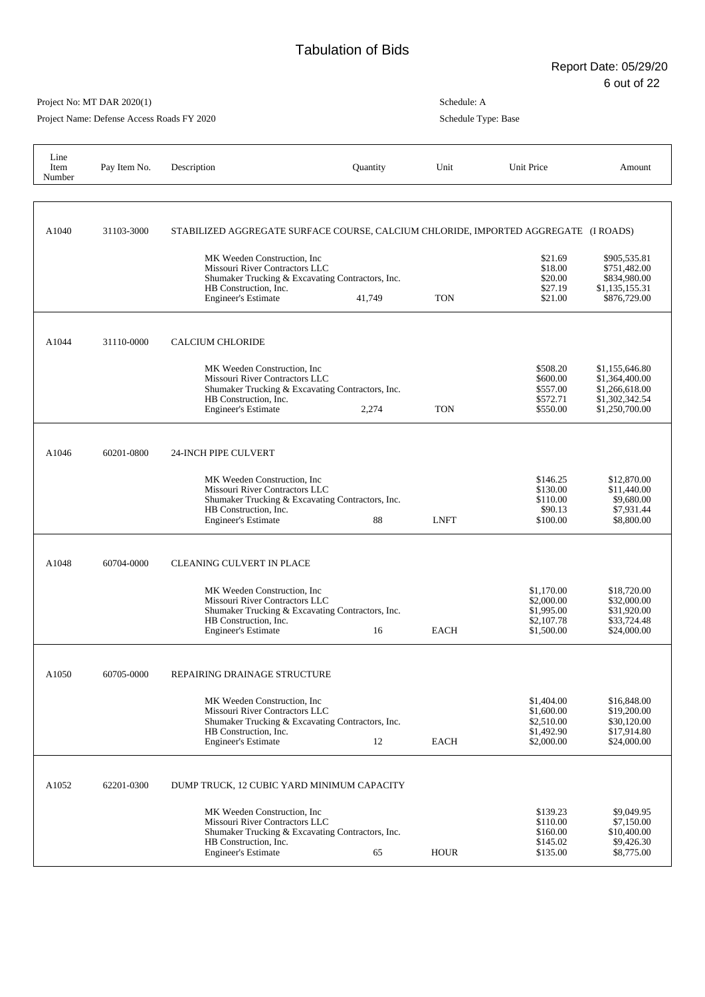Project Name: Defense Access Roads FY 2020

| Line<br>Item<br>Number | Pay Item No. | Description                                                                                                                                                               | Quantity | Unit        | Unit Price                                                         | Amount                                                                                 |
|------------------------|--------------|---------------------------------------------------------------------------------------------------------------------------------------------------------------------------|----------|-------------|--------------------------------------------------------------------|----------------------------------------------------------------------------------------|
| A1040                  | 31103-3000   | STABILIZED AGGREGATE SURFACE COURSE, CALCIUM CHLORIDE, IMPORTED AGGREGATE (I ROADS)                                                                                       |          |             |                                                                    |                                                                                        |
|                        |              | MK Weeden Construction, Inc.<br>Missouri River Contractors LLC<br>Shumaker Trucking & Excavating Contractors, Inc.<br>HB Construction, Inc.<br><b>Engineer's Estimate</b> | 41,749   | <b>TON</b>  | \$21.69<br>\$18.00<br>\$20.00<br>\$27.19<br>\$21.00                | \$905,535.81<br>\$751,482.00<br>\$834,980.00<br>\$1,135,155.31<br>\$876,729.00         |
| A1044                  | 31110-0000   | <b>CALCIUM CHLORIDE</b>                                                                                                                                                   |          |             |                                                                    |                                                                                        |
|                        |              | MK Weeden Construction, Inc.<br>Missouri River Contractors LLC<br>Shumaker Trucking & Excavating Contractors, Inc.<br>HB Construction. Inc.<br><b>Engineer's Estimate</b> | 2,274    | <b>TON</b>  | \$508.20<br>\$600.00<br>\$557.00<br>\$572.71<br>\$550.00           | \$1,155,646.80<br>\$1,364,400.00<br>\$1,266,618.00<br>\$1,302,342.54<br>\$1,250,700.00 |
| A1046                  | 60201-0800   | 24-INCH PIPE CULVERT                                                                                                                                                      |          |             |                                                                    |                                                                                        |
|                        |              | MK Weeden Construction, Inc.<br>Missouri River Contractors LLC<br>Shumaker Trucking & Excavating Contractors, Inc.<br>HB Construction, Inc.<br><b>Engineer's Estimate</b> | 88       | <b>LNFT</b> | \$146.25<br>\$130.00<br>\$110.00<br>\$90.13<br>\$100.00            | \$12,870.00<br>\$11,440.00<br>\$9,680.00<br>\$7,931.44<br>\$8,800.00                   |
| A1048                  | 60704-0000   | <b>CLEANING CULVERT IN PLACE</b>                                                                                                                                          |          |             |                                                                    |                                                                                        |
|                        |              | MK Weeden Construction, Inc.<br>Missouri River Contractors LLC<br>Shumaker Trucking & Excavating Contractors, Inc.<br>HB Construction, Inc.<br><b>Engineer's Estimate</b> | 16       | <b>EACH</b> | \$1,170.00<br>\$2,000.00<br>\$1,995.00<br>\$2,107.78<br>\$1,500.00 | \$18,720.00<br>\$32,000.00<br>\$31,920.00<br>\$33,724.48<br>\$24,000.00                |
| A1050                  | 60705-0000   | REPAIRING DRAINAGE STRUCTURE                                                                                                                                              |          |             |                                                                    |                                                                                        |
|                        |              | MK Weeden Construction, Inc<br>Missouri River Contractors LLC<br>Shumaker Trucking & Excavating Contractors, Inc.<br>HB Construction, Inc.<br><b>Engineer's Estimate</b>  | 12       | <b>EACH</b> | \$1,404.00<br>\$1,600.00<br>\$2,510.00<br>\$1,492.90<br>\$2,000.00 | \$16,848.00<br>\$19,200.00<br>\$30,120.00<br>\$17,914.80<br>\$24,000.00                |
| A1052                  | 62201-0300   | DUMP TRUCK, 12 CUBIC YARD MINIMUM CAPACITY                                                                                                                                |          |             |                                                                    |                                                                                        |
|                        |              | MK Weeden Construction, Inc.<br>Missouri River Contractors LLC<br>Shumaker Trucking & Excavating Contractors, Inc.<br>HB Construction, Inc.<br><b>Engineer's Estimate</b> | 65       | <b>HOUR</b> | \$139.23<br>\$110.00<br>\$160.00<br>\$145.02<br>\$135.00           | \$9,049.95<br>\$7,150.00<br>\$10,400.00<br>\$9,426.30<br>\$8,775.00                    |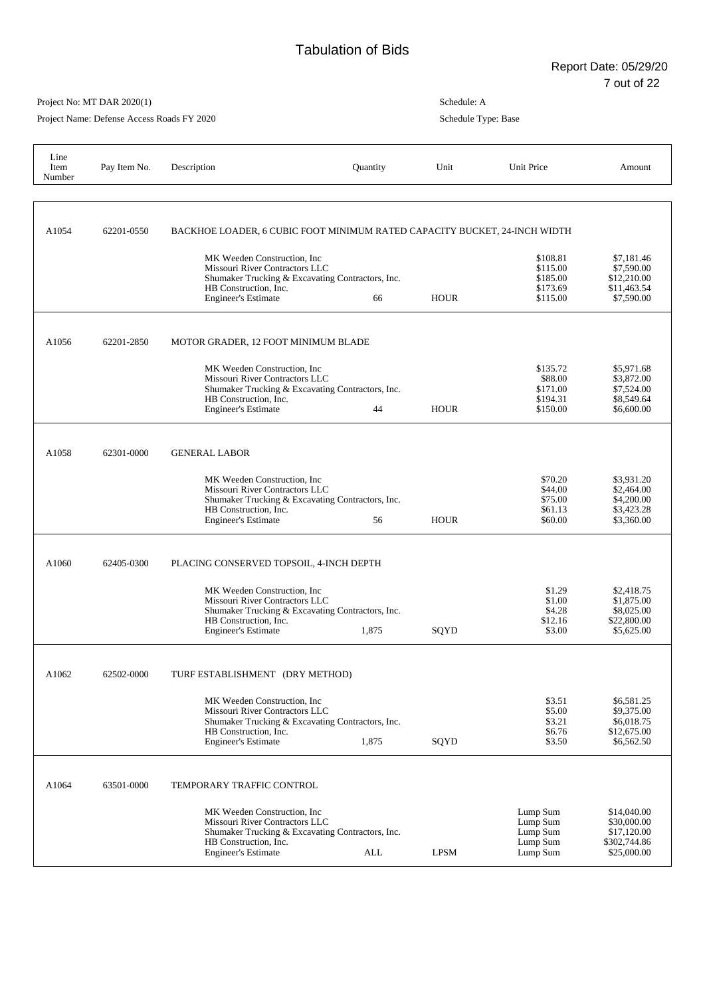Project Name: Defense Access Roads FY 2020

| Line<br>Item<br>Number | Pay Item No. | Description                                                                                                                                                               | Quantity | Unit        | Unit Price                                               | Amount                                                                   |
|------------------------|--------------|---------------------------------------------------------------------------------------------------------------------------------------------------------------------------|----------|-------------|----------------------------------------------------------|--------------------------------------------------------------------------|
| A1054                  | 62201-0550   | BACKHOE LOADER, 6 CUBIC FOOT MINIMUM RATED CAPACITY BUCKET, 24-INCH WIDTH                                                                                                 |          |             |                                                          |                                                                          |
|                        |              | MK Weeden Construction, Inc.<br>Missouri River Contractors LLC<br>Shumaker Trucking & Excavating Contractors, Inc.<br>HB Construction, Inc.<br><b>Engineer's Estimate</b> | 66       | <b>HOUR</b> | \$108.81<br>\$115.00<br>\$185.00<br>\$173.69<br>\$115.00 | \$7,181.46<br>\$7,590.00<br>\$12,210.00<br>\$11,463.54<br>\$7,590.00     |
| A1056                  | 62201-2850   | MOTOR GRADER, 12 FOOT MINIMUM BLADE                                                                                                                                       |          |             |                                                          |                                                                          |
|                        |              | MK Weeden Construction, Inc.<br>Missouri River Contractors LLC<br>Shumaker Trucking & Excavating Contractors, Inc.<br>HB Construction, Inc.<br><b>Engineer's Estimate</b> | 44       | <b>HOUR</b> | \$135.72<br>\$88.00<br>\$171.00<br>\$194.31<br>\$150.00  | \$5,971.68<br>\$3,872.00<br>\$7,524.00<br>\$8,549.64<br>\$6,600.00       |
| A1058                  | 62301-0000   | <b>GENERAL LABOR</b>                                                                                                                                                      |          |             |                                                          |                                                                          |
|                        |              | MK Weeden Construction, Inc.<br>Missouri River Contractors LLC<br>Shumaker Trucking & Excavating Contractors, Inc.<br>HB Construction, Inc.<br><b>Engineer's Estimate</b> | 56       | <b>HOUR</b> | \$70.20<br>\$44.00<br>\$75.00<br>\$61.13<br>\$60.00      | \$3,931.20<br>\$2,464.00<br>\$4,200.00<br>\$3,423.28<br>\$3,360.00       |
| A1060                  | 62405-0300   | PLACING CONSERVED TOPSOIL, 4-INCH DEPTH                                                                                                                                   |          |             |                                                          |                                                                          |
|                        |              | MK Weeden Construction, Inc.<br>Missouri River Contractors LLC<br>Shumaker Trucking & Excavating Contractors, Inc.<br>HB Construction, Inc.<br><b>Engineer's Estimate</b> | 1,875    | SQYD        | \$1.29<br>\$1.00<br>\$4.28<br>\$12.16<br>\$3.00          | \$2,418.75<br>\$1,875.00<br>\$8,025.00<br>\$22,800.00<br>\$5,625.00      |
| A1062                  | 62502-0000   | TURF ESTABLISHMENT (DRY METHOD)                                                                                                                                           |          |             |                                                          |                                                                          |
|                        |              | MK Weeden Construction, Inc.<br>Missouri River Contractors LLC<br>Shumaker Trucking & Excavating Contractors, Inc.<br>HB Construction, Inc.<br><b>Engineer's Estimate</b> | 1,875    | SQYD        | \$3.51<br>\$5.00<br>\$3.21<br>\$6.76<br>\$3.50           | \$6,581.25<br>\$9,375.00<br>\$6,018.75<br>\$12,675.00<br>\$6,562.50      |
| A1064                  | 63501-0000   | TEMPORARY TRAFFIC CONTROL                                                                                                                                                 |          |             |                                                          |                                                                          |
|                        |              | MK Weeden Construction, Inc.<br>Missouri River Contractors LLC<br>Shumaker Trucking & Excavating Contractors, Inc.<br>HB Construction, Inc.<br>Engineer's Estimate        | ALL      | <b>LPSM</b> | Lump Sum<br>Lump Sum<br>Lump Sum<br>Lump Sum<br>Lump Sum | \$14,040.00<br>\$30,000.00<br>\$17,120.00<br>\$302,744.86<br>\$25,000.00 |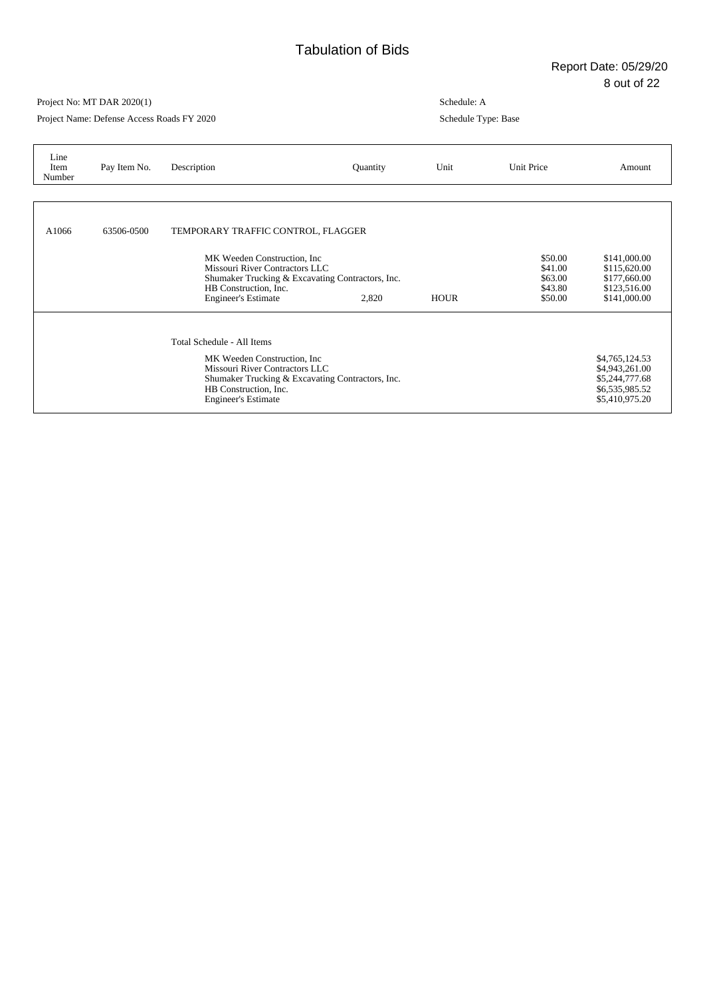Project Name: Defense Access Roads FY 2020

| Line<br>Item<br>Number | Pay Item No. | Description                                                                                                                                                                                             | Quantity | Unit        | Unit Price                                          | Amount                                                                                 |
|------------------------|--------------|---------------------------------------------------------------------------------------------------------------------------------------------------------------------------------------------------------|----------|-------------|-----------------------------------------------------|----------------------------------------------------------------------------------------|
|                        |              |                                                                                                                                                                                                         |          |             |                                                     |                                                                                        |
| A1066                  | 63506-0500   | TEMPORARY TRAFFIC CONTROL, FLAGGER                                                                                                                                                                      |          |             |                                                     |                                                                                        |
|                        |              | MK Weeden Construction, Inc.<br>Missouri River Contractors LLC<br>Shumaker Trucking & Excavating Contractors, Inc.<br>HB Construction, Inc.<br><b>Engineer's Estimate</b>                               | 2,820    | <b>HOUR</b> | \$50.00<br>\$41.00<br>\$63.00<br>\$43.80<br>\$50.00 | \$141,000.00<br>\$115,620.00<br>\$177,660.00<br>\$123,516.00<br>\$141,000.00           |
|                        |              | Total Schedule - All Items<br>MK Weeden Construction, Inc.<br>Missouri River Contractors LLC<br>Shumaker Trucking & Excavating Contractors, Inc.<br>HB Construction, Inc.<br><b>Engineer's Estimate</b> |          |             |                                                     | \$4,765,124.53<br>\$4,943,261.00<br>\$5,244,777.68<br>\$6,535,985.52<br>\$5,410,975.20 |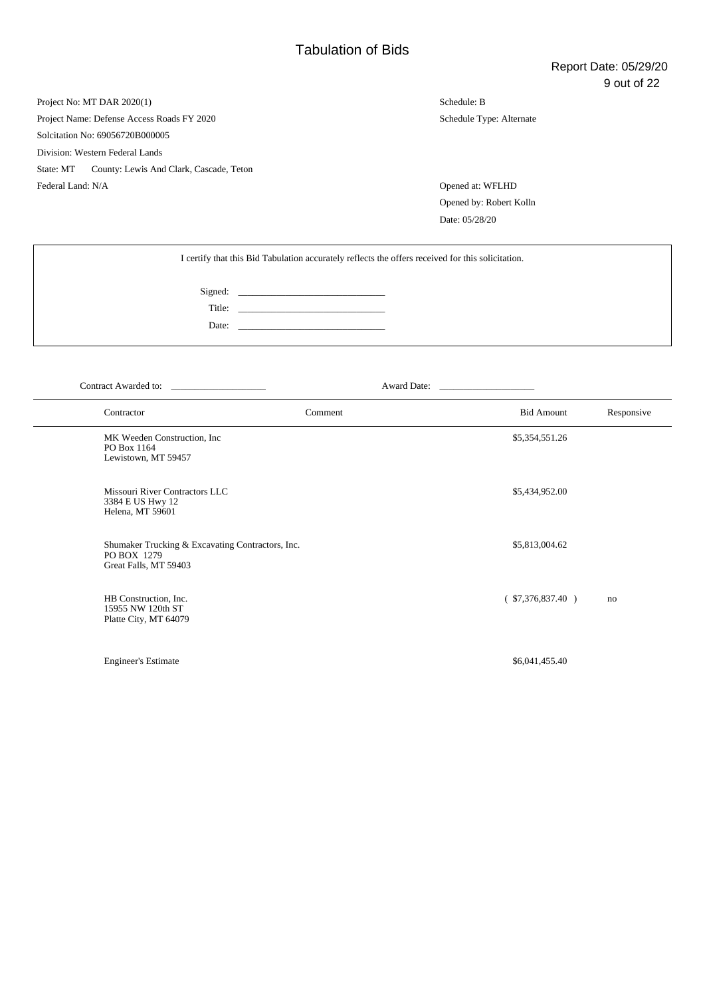Project No: MT DAR 2020(1) Project Name: Defense Access Roads FY 2020 Solcitation No: 69056720B000005 Division: Western Federal Lands State: MT County: Lewis And Clark, Cascade, Teton Federal Land: N/A Opened at: WFLHD

Schedule: B Schedule Type: Alternate

Opened by: Robert Kolln Date: 05/28/20

| I certify that this Bid Tabulation accurately reflects the offers received for this solicitation. |        |  |  |  |
|---------------------------------------------------------------------------------------------------|--------|--|--|--|
|                                                                                                   |        |  |  |  |
|                                                                                                   | Title: |  |  |  |
|                                                                                                   |        |  |  |  |

Contract Awarded to: \_\_\_\_\_\_\_\_\_\_\_\_\_\_\_\_\_\_\_\_ Award Date: \_\_\_\_\_\_\_\_\_\_\_\_\_\_\_\_\_\_\_\_

| Contractor                                                                               | Comment | <b>Bid Amount</b>  | Responsive |
|------------------------------------------------------------------------------------------|---------|--------------------|------------|
| MK Weeden Construction, Inc.<br>PO Box 1164<br>Lewistown, MT 59457                       |         | \$5,354,551.26     |            |
| Missouri River Contractors LLC<br>3384 E US Hwy 12<br>Helena, MT 59601                   |         | \$5,434,952.00     |            |
| Shumaker Trucking & Excavating Contractors, Inc.<br>PO BOX 1279<br>Great Falls, MT 59403 |         | \$5,813,004.62     |            |
| HB Construction, Inc.<br>15955 NW 120th ST<br>Platte City, MT 64079                      |         | $(*57,376,837.40)$ | no         |
| <b>Engineer's Estimate</b>                                                               |         | \$6,041,455.40     |            |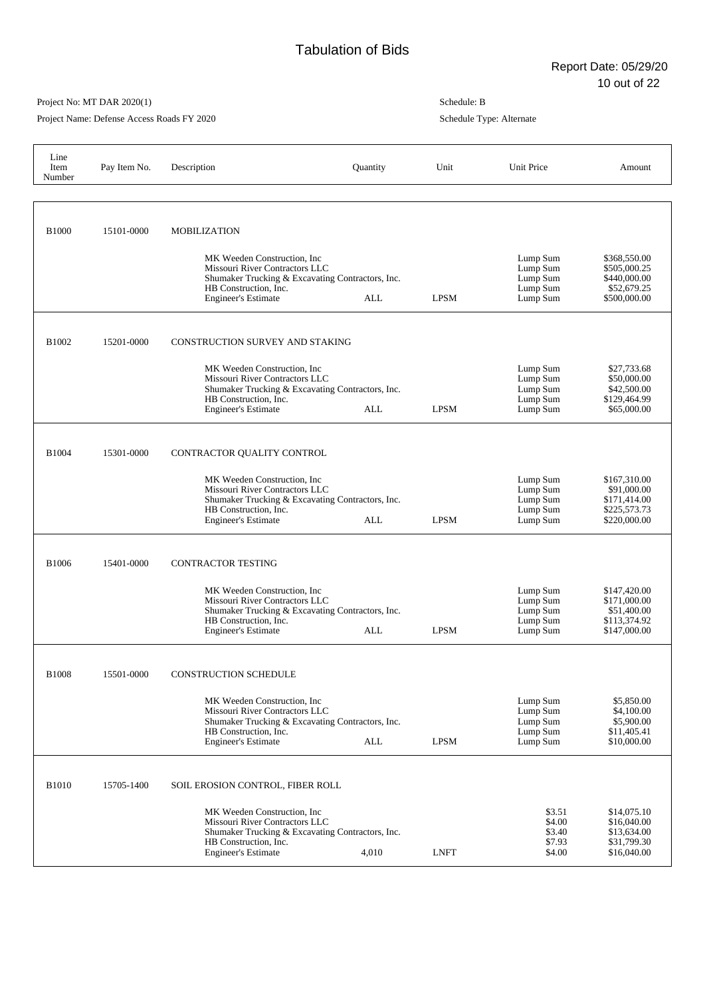Project Name: Defense Access Roads FY 2020

| Line<br>Item<br>Number | Pay Item No. | Description                                                                                                                                                                                      | Quantity | Unit        | Unit Price                                               | Amount                                                                      |
|------------------------|--------------|--------------------------------------------------------------------------------------------------------------------------------------------------------------------------------------------------|----------|-------------|----------------------------------------------------------|-----------------------------------------------------------------------------|
|                        |              |                                                                                                                                                                                                  |          |             |                                                          |                                                                             |
| <b>B1000</b>           | 15101-0000   | <b>MOBILIZATION</b><br>MK Weeden Construction, Inc.<br>Missouri River Contractors LLC<br>Shumaker Trucking & Excavating Contractors, Inc.<br>HB Construction. Inc.<br><b>Engineer's Estimate</b> | ALL      | <b>LPSM</b> | Lump Sum<br>Lump Sum<br>Lump Sum<br>Lump Sum<br>Lump Sum | \$368,550.00<br>\$505,000.25<br>\$440,000.00<br>\$52,679.25<br>\$500,000.00 |
|                        |              |                                                                                                                                                                                                  |          |             |                                                          |                                                                             |
| B1002                  | 15201-0000   | CONSTRUCTION SURVEY AND STAKING<br>MK Weeden Construction, Inc.                                                                                                                                  |          |             | Lump Sum                                                 | \$27,733.68                                                                 |
|                        |              | Missouri River Contractors LLC<br>Shumaker Trucking & Excavating Contractors, Inc.<br>HB Construction, Inc.<br><b>Engineer's Estimate</b>                                                        | ALL      | <b>LPSM</b> | Lump Sum<br>Lump Sum<br>Lump Sum<br>Lump Sum             | \$50,000.00<br>\$42,500.00<br>\$129,464.99<br>\$65,000.00                   |
| <b>B1004</b>           | 15301-0000   | CONTRACTOR QUALITY CONTROL                                                                                                                                                                       |          |             |                                                          |                                                                             |
|                        |              | MK Weeden Construction, Inc.<br>Missouri River Contractors LLC<br>Shumaker Trucking & Excavating Contractors, Inc.<br>HB Construction, Inc.<br><b>Engineer's Estimate</b>                        | ALL      | <b>LPSM</b> | Lump Sum<br>Lump Sum<br>Lump Sum<br>Lump Sum<br>Lump Sum | \$167,310.00<br>\$91,000.00<br>\$171,414.00<br>\$225,573.73<br>\$220,000.00 |
| <b>B1006</b>           | 15401-0000   | <b>CONTRACTOR TESTING</b>                                                                                                                                                                        |          |             |                                                          |                                                                             |
|                        |              | MK Weeden Construction, Inc.<br>Missouri River Contractors LLC<br>Shumaker Trucking & Excavating Contractors, Inc.<br>HB Construction, Inc.<br><b>Engineer's Estimate</b>                        | ALL      | <b>LPSM</b> | Lump Sum<br>Lump Sum<br>Lump Sum<br>Lump Sum<br>Lump Sum | \$147,420.00<br>\$171,000.00<br>\$51,400.00<br>\$113,374.92<br>\$147,000.00 |
| <b>B1008</b>           | 15501-0000   | <b>CONSTRUCTION SCHEDULE</b>                                                                                                                                                                     |          |             |                                                          |                                                                             |
|                        |              | MK Weeden Construction, Inc.<br>Missouri River Contractors LLC<br>Shumaker Trucking & Excavating Contractors, Inc.<br>HB Construction, Inc.<br><b>Engineer's Estimate</b>                        | ALL      | <b>LPSM</b> | Lump Sum<br>Lump Sum<br>Lump Sum<br>Lump Sum<br>Lump Sum | \$5,850.00<br>\$4,100.00<br>\$5,900.00<br>\$11,405.41<br>\$10,000.00        |
| <b>B1010</b>           | 15705-1400   | SOIL EROSION CONTROL, FIBER ROLL                                                                                                                                                                 |          |             |                                                          |                                                                             |
|                        |              | MK Weeden Construction, Inc<br>Missouri River Contractors LLC<br>Shumaker Trucking & Excavating Contractors, Inc.<br>HB Construction, Inc.<br><b>Engineer's Estimate</b>                         | 4,010    | <b>LNFT</b> | \$3.51<br>\$4.00<br>\$3.40<br>\$7.93<br>\$4.00           | \$14,075.10<br>\$16,040.00<br>\$13,634.00<br>\$31,799.30<br>\$16,040.00     |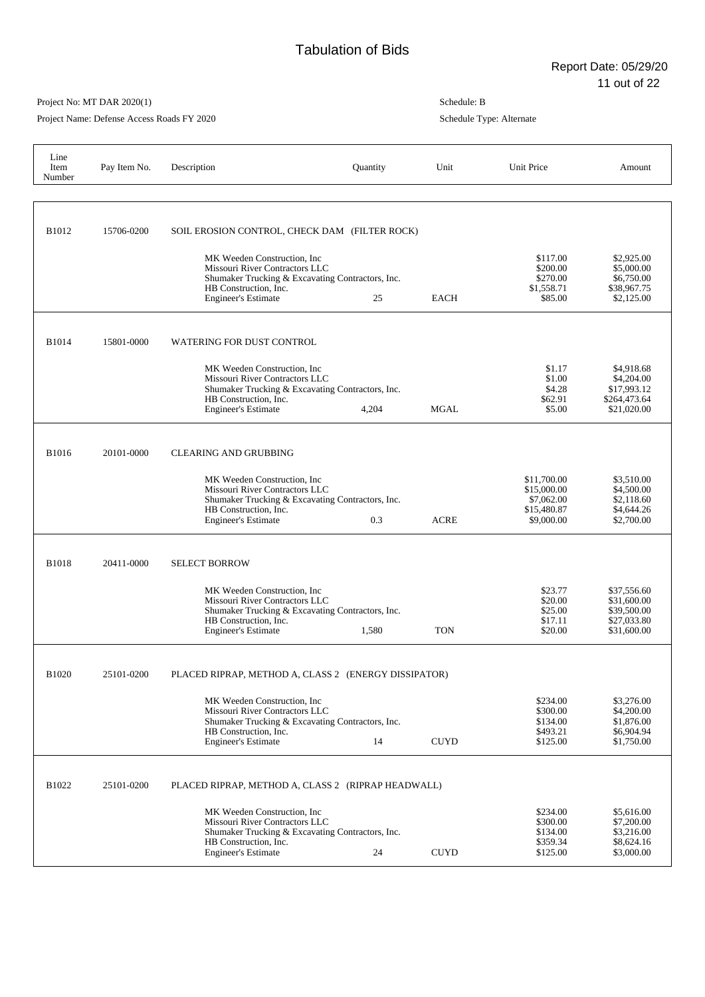Project Name: Defense Access Roads FY 2020

| Line<br>Item<br>Number | Pay Item No. | Description                                                                                                                                                               | Quantity | Unit        | Unit Price                                                            | Amount                                                                  |
|------------------------|--------------|---------------------------------------------------------------------------------------------------------------------------------------------------------------------------|----------|-------------|-----------------------------------------------------------------------|-------------------------------------------------------------------------|
| B1012                  | 15706-0200   | SOIL EROSION CONTROL, CHECK DAM (FILTER ROCK)                                                                                                                             |          |             |                                                                       |                                                                         |
|                        |              | MK Weeden Construction, Inc<br>Missouri River Contractors LLC<br>Shumaker Trucking & Excavating Contractors, Inc.<br>HB Construction, Inc.<br><b>Engineer's Estimate</b>  | 25       | <b>EACH</b> | \$117.00<br>\$200.00<br>\$270.00<br>\$1,558.71<br>\$85.00             | \$2,925.00<br>\$5,000.00<br>\$6,750.00<br>\$38,967.75<br>\$2,125.00     |
| <b>B1014</b>           | 15801-0000   | <b>WATERING FOR DUST CONTROL</b>                                                                                                                                          |          |             |                                                                       |                                                                         |
|                        |              | MK Weeden Construction, Inc.<br>Missouri River Contractors LLC<br>Shumaker Trucking & Excavating Contractors, Inc.<br>HB Construction, Inc.<br><b>Engineer's Estimate</b> | 4,204    | <b>MGAL</b> | \$1.17<br>\$1.00<br>\$4.28<br>\$62.91<br>\$5.00                       | \$4,918.68<br>\$4,204.00<br>\$17,993.12<br>\$264,473.64<br>\$21,020.00  |
| <b>B1016</b>           | 20101-0000   | <b>CLEARING AND GRUBBING</b>                                                                                                                                              |          |             |                                                                       |                                                                         |
|                        |              | MK Weeden Construction. Inc.<br>Missouri River Contractors LLC<br>Shumaker Trucking & Excavating Contractors, Inc.<br>HB Construction, Inc.<br><b>Engineer's Estimate</b> | 0.3      | <b>ACRE</b> | \$11,700.00<br>\$15,000.00<br>\$7,062.00<br>\$15,480.87<br>\$9,000.00 | \$3,510.00<br>\$4,500.00<br>\$2,118.60<br>\$4,644.26<br>\$2,700.00      |
| <b>B1018</b>           | 20411-0000   | <b>SELECT BORROW</b>                                                                                                                                                      |          |             |                                                                       |                                                                         |
|                        |              | MK Weeden Construction, Inc.<br>Missouri River Contractors LLC<br>Shumaker Trucking & Excavating Contractors, Inc.<br>HB Construction, Inc.<br><b>Engineer's Estimate</b> | 1,580    | <b>TON</b>  | \$23.77<br>\$20.00<br>\$25.00<br>\$17.11<br>\$20.00                   | \$37,556.60<br>\$31,600.00<br>\$39,500.00<br>\$27,033.80<br>\$31,600.00 |
| <b>B1020</b>           | 25101-0200   | PLACED RIPRAP, METHOD A, CLASS 2 (ENERGY DISSIPATOR)                                                                                                                      |          |             |                                                                       |                                                                         |
|                        |              | MK Weeden Construction, Inc.<br>Missouri River Contractors LLC<br>Shumaker Trucking & Excavating Contractors, Inc.<br>HB Construction, Inc.<br><b>Engineer's Estimate</b> | 14       | <b>CUYD</b> | \$234.00<br>\$300.00<br>\$134.00<br>\$493.21<br>\$125.00              | \$3,276.00<br>\$4,200.00<br>\$1,876.00<br>\$6,904.94<br>\$1,750.00      |
| B1022                  | 25101-0200   | PLACED RIPRAP, METHOD A, CLASS 2 (RIPRAP HEADWALL)                                                                                                                        |          |             |                                                                       |                                                                         |
|                        |              | MK Weeden Construction, Inc.<br>Missouri River Contractors LLC<br>Shumaker Trucking & Excavating Contractors, Inc.<br>HB Construction, Inc.<br><b>Engineer's Estimate</b> | 24       | <b>CUYD</b> | \$234.00<br>\$300.00<br>\$134.00<br>\$359.34<br>\$125.00              | \$5,616.00<br>\$7,200.00<br>\$3,216.00<br>\$8,624.16<br>\$3,000.00      |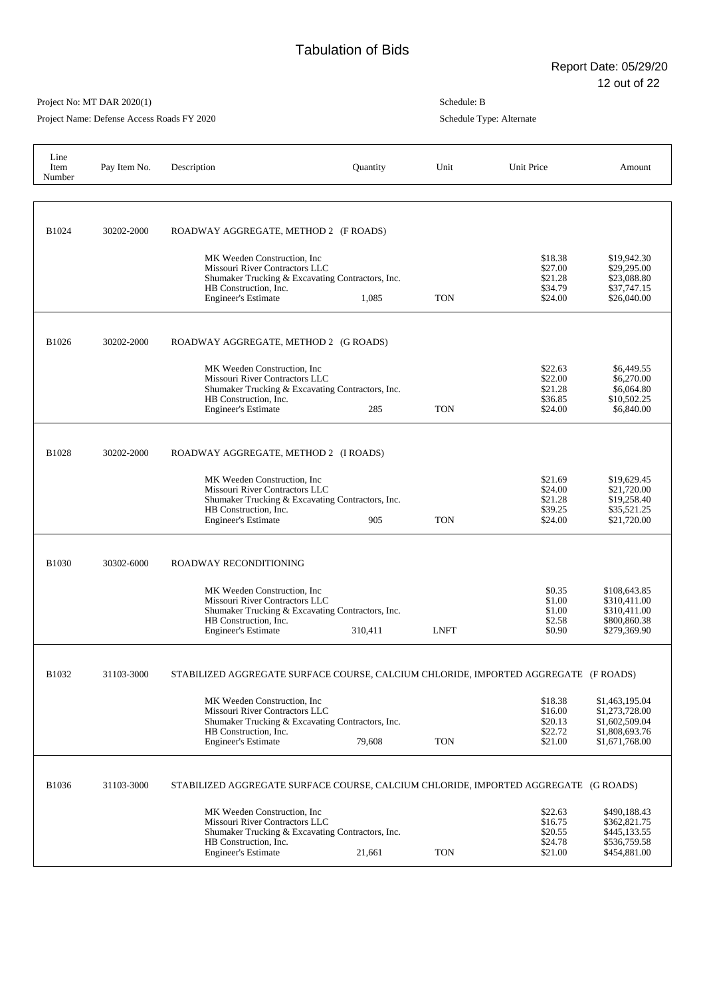Project Name: Defense Access Roads FY 2020

| Line<br>Item<br>Number | Pay Item No. | Description                                                                                                                                                               | Quantity | Unit        | Unit Price                                          | Amount                                                                                 |
|------------------------|--------------|---------------------------------------------------------------------------------------------------------------------------------------------------------------------------|----------|-------------|-----------------------------------------------------|----------------------------------------------------------------------------------------|
| B1024                  | 30202-2000   | ROADWAY AGGREGATE, METHOD 2 (F ROADS)<br>MK Weeden Construction, Inc.                                                                                                     |          |             | \$18.38                                             | \$19,942.30                                                                            |
|                        |              | Missouri River Contractors LLC<br>Shumaker Trucking & Excavating Contractors, Inc.<br>HB Construction, Inc.<br><b>Engineer's Estimate</b>                                 | 1,085    | <b>TON</b>  | \$27.00<br>\$21.28<br>\$34.79<br>\$24.00            | \$29,295.00<br>\$23,088.80<br>\$37,747.15<br>\$26,040.00                               |
| B1026                  | 30202-2000   | ROADWAY AGGREGATE, METHOD 2 (G ROADS)                                                                                                                                     |          |             |                                                     |                                                                                        |
|                        |              | MK Weeden Construction, Inc.<br>Missouri River Contractors LLC<br>Shumaker Trucking & Excavating Contractors, Inc.<br>HB Construction, Inc.<br><b>Engineer's Estimate</b> | 285      | <b>TON</b>  | \$22.63<br>\$22.00<br>\$21.28<br>\$36.85<br>\$24.00 | \$6,449.55<br>\$6,270.00<br>\$6,064.80<br>\$10,502.25<br>\$6,840.00                    |
| B1028                  | 30202-2000   | ROADWAY AGGREGATE, METHOD 2 (I ROADS)                                                                                                                                     |          |             |                                                     |                                                                                        |
|                        |              | MK Weeden Construction, Inc.<br>Missouri River Contractors LLC<br>Shumaker Trucking & Excavating Contractors, Inc.<br>HB Construction, Inc.<br><b>Engineer's Estimate</b> | 905      | <b>TON</b>  | \$21.69<br>\$24.00<br>\$21.28<br>\$39.25<br>\$24.00 | \$19,629.45<br>\$21,720.00<br>\$19,258.40<br>\$35,521.25<br>\$21,720.00                |
| <b>B1030</b>           | 30302-6000   | ROADWAY RECONDITIONING                                                                                                                                                    |          |             |                                                     |                                                                                        |
|                        |              | MK Weeden Construction, Inc.<br>Missouri River Contractors LLC<br>Shumaker Trucking & Excavating Contractors, Inc.<br>HB Construction, Inc.<br><b>Engineer's Estimate</b> | 310,411  | <b>LNFT</b> | \$0.35<br>\$1.00<br>\$1.00<br>\$2.58<br>\$0.90      | \$108,643.85<br>\$310,411.00<br>\$310,411.00<br>\$800,860.38<br>\$279,369.90           |
| B1032                  | 31103-3000   | STABILIZED AGGREGATE SURFACE COURSE, CALCIUM CHLORIDE, IMPORTED AGGREGATE (F ROADS)                                                                                       |          |             |                                                     |                                                                                        |
|                        |              | MK Weeden Construction, Inc.<br>Missouri River Contractors LLC<br>Shumaker Trucking & Excavating Contractors, Inc.<br>HB Construction, Inc.<br><b>Engineer's Estimate</b> | 79,608   | <b>TON</b>  | \$18.38<br>\$16.00<br>\$20.13<br>\$22.72<br>\$21.00 | \$1,463,195.04<br>\$1,273,728.00<br>\$1,602,509.04<br>\$1,808,693.76<br>\$1,671,768.00 |
| B1036                  | 31103-3000   | STABILIZED AGGREGATE SURFACE COURSE, CALCIUM CHLORIDE, IMPORTED AGGREGATE (G ROADS)                                                                                       |          |             |                                                     |                                                                                        |
|                        |              | MK Weeden Construction, Inc.<br>Missouri River Contractors LLC<br>Shumaker Trucking & Excavating Contractors, Inc.<br>HB Construction, Inc.<br><b>Engineer's Estimate</b> | 21,661   | <b>TON</b>  | \$22.63<br>\$16.75<br>\$20.55<br>\$24.78<br>\$21.00 | \$490,188.43<br>\$362,821.75<br>\$445,133.55<br>\$536,759.58<br>\$454,881.00           |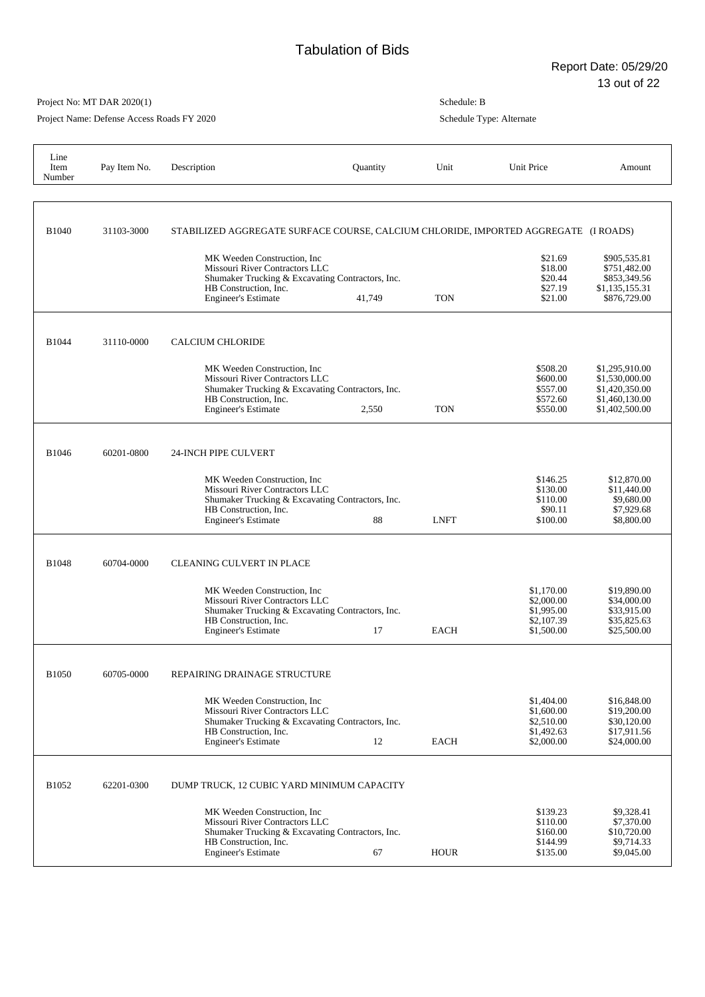Project Name: Defense Access Roads FY 2020

| Line<br>Item<br>Number | Pay Item No. | Description                                                                                                                                                               | Quantity | Unit        | Unit Price                                                         | Amount                                                                                 |
|------------------------|--------------|---------------------------------------------------------------------------------------------------------------------------------------------------------------------------|----------|-------------|--------------------------------------------------------------------|----------------------------------------------------------------------------------------|
| B1040                  | 31103-3000   | STABILIZED AGGREGATE SURFACE COURSE, CALCIUM CHLORIDE, IMPORTED AGGREGATE (I ROADS)                                                                                       |          |             |                                                                    |                                                                                        |
|                        |              | MK Weeden Construction, Inc.<br>Missouri River Contractors LLC<br>Shumaker Trucking & Excavating Contractors, Inc.<br>HB Construction, Inc.<br><b>Engineer's Estimate</b> | 41,749   | <b>TON</b>  | \$21.69<br>\$18.00<br>\$20.44<br>\$27.19<br>\$21.00                | \$905,535.81<br>\$751,482.00<br>\$853,349.56<br>\$1,135,155.31<br>\$876,729.00         |
| B1044                  | 31110-0000   | <b>CALCIUM CHLORIDE</b>                                                                                                                                                   |          |             |                                                                    |                                                                                        |
|                        |              | MK Weeden Construction, Inc.<br>Missouri River Contractors LLC<br>Shumaker Trucking & Excavating Contractors, Inc.<br>HB Construction. Inc.<br><b>Engineer's Estimate</b> | 2,550    | <b>TON</b>  | \$508.20<br>\$600.00<br>\$557.00<br>\$572.60<br>\$550.00           | \$1,295,910.00<br>\$1,530,000.00<br>\$1,420,350.00<br>\$1,460,130.00<br>\$1,402,500.00 |
| B1046                  | 60201-0800   | 24-INCH PIPE CULVERT                                                                                                                                                      |          |             |                                                                    |                                                                                        |
|                        |              | MK Weeden Construction, Inc.<br>Missouri River Contractors LLC<br>Shumaker Trucking & Excavating Contractors, Inc.<br>HB Construction, Inc.<br><b>Engineer's Estimate</b> | 88       | <b>LNFT</b> | \$146.25<br>\$130.00<br>\$110.00<br>\$90.11<br>\$100.00            | \$12,870.00<br>\$11,440.00<br>\$9,680.00<br>\$7,929.68<br>\$8,800.00                   |
| <b>B1048</b>           | 60704-0000   | <b>CLEANING CULVERT IN PLACE</b>                                                                                                                                          |          |             |                                                                    |                                                                                        |
|                        |              | MK Weeden Construction, Inc.<br>Missouri River Contractors LLC<br>Shumaker Trucking & Excavating Contractors, Inc.<br>HB Construction, Inc.<br><b>Engineer's Estimate</b> | 17       | <b>EACH</b> | \$1,170.00<br>\$2,000.00<br>\$1,995.00<br>\$2,107.39<br>\$1,500.00 | \$19,890.00<br>\$34,000.00<br>\$33,915.00<br>\$35,825.63<br>\$25,500.00                |
| B1050                  | 60705-0000   | REPAIRING DRAINAGE STRUCTURE                                                                                                                                              |          |             |                                                                    |                                                                                        |
|                        |              | MK Weeden Construction, Inc<br>Missouri River Contractors LLC<br>Shumaker Trucking & Excavating Contractors, Inc.<br>HB Construction, Inc.<br><b>Engineer's Estimate</b>  | 12       | <b>EACH</b> | \$1,404.00<br>\$1,600.00<br>\$2,510.00<br>\$1,492.63<br>\$2,000.00 | \$16,848.00<br>\$19,200.00<br>\$30,120.00<br>\$17,911.56<br>\$24,000.00                |
| B1052                  | 62201-0300   | DUMP TRUCK, 12 CUBIC YARD MINIMUM CAPACITY                                                                                                                                |          |             |                                                                    |                                                                                        |
|                        |              | MK Weeden Construction, Inc.<br>Missouri River Contractors LLC<br>Shumaker Trucking & Excavating Contractors, Inc.<br>HB Construction, Inc.<br><b>Engineer's Estimate</b> | 67       | <b>HOUR</b> | \$139.23<br>\$110.00<br>\$160.00<br>\$144.99<br>\$135.00           | \$9,328.41<br>\$7,370.00<br>\$10,720.00<br>\$9,714.33<br>\$9,045.00                    |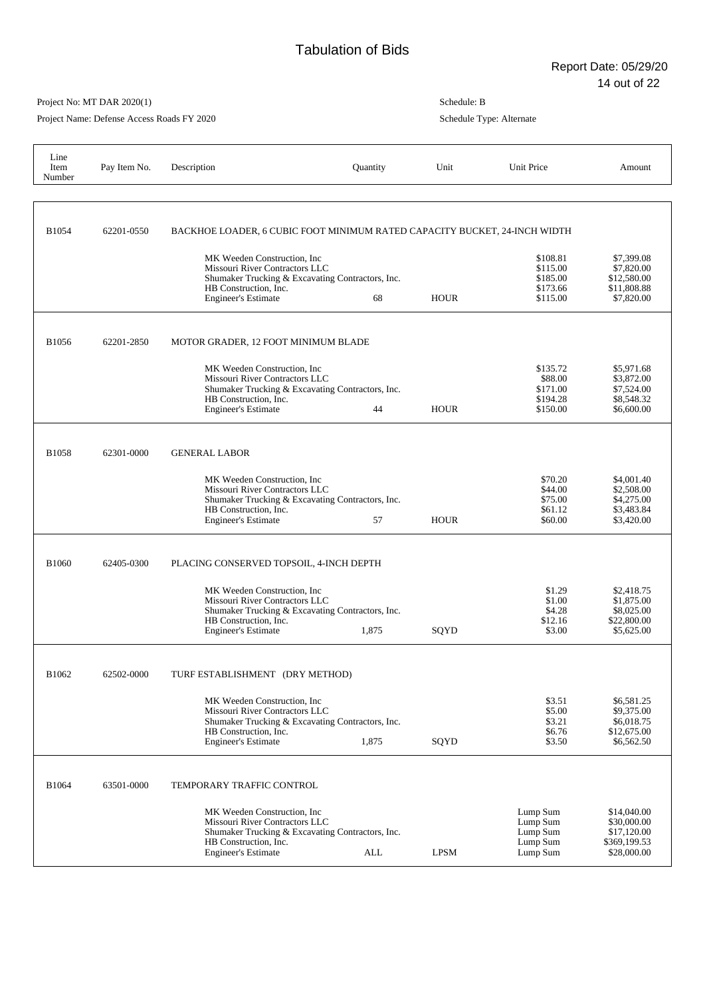Project Name: Defense Access Roads FY 2020

| Line<br>Item<br>Number | Pay Item No. | Description                                                                                                                                                               | Quantity   | Unit        | Unit Price                                               | Amount                                                                   |
|------------------------|--------------|---------------------------------------------------------------------------------------------------------------------------------------------------------------------------|------------|-------------|----------------------------------------------------------|--------------------------------------------------------------------------|
| B1054                  | 62201-0550   | BACKHOE LOADER, 6 CUBIC FOOT MINIMUM RATED CAPACITY BUCKET, 24-INCH WIDTH                                                                                                 |            |             |                                                          |                                                                          |
|                        |              | MK Weeden Construction, Inc.<br>Missouri River Contractors LLC<br>Shumaker Trucking & Excavating Contractors, Inc.<br>HB Construction, Inc.<br><b>Engineer's Estimate</b> | 68         | <b>HOUR</b> | \$108.81<br>\$115.00<br>\$185.00<br>\$173.66<br>\$115.00 | \$7,399.08<br>\$7,820.00<br>\$12,580.00<br>\$11,808.88<br>\$7,820.00     |
| B1056                  | 62201-2850   | MOTOR GRADER, 12 FOOT MINIMUM BLADE                                                                                                                                       |            |             |                                                          |                                                                          |
|                        |              | MK Weeden Construction, Inc.<br>Missouri River Contractors LLC<br>Shumaker Trucking & Excavating Contractors, Inc.<br>HB Construction, Inc.<br><b>Engineer's Estimate</b> | 44         | <b>HOUR</b> | \$135.72<br>\$88.00<br>\$171.00<br>\$194.28<br>\$150.00  | \$5,971.68<br>\$3,872.00<br>\$7,524.00<br>\$8,548.32<br>\$6,600.00       |
| B1058                  | 62301-0000   | <b>GENERAL LABOR</b>                                                                                                                                                      |            |             |                                                          |                                                                          |
|                        |              | MK Weeden Construction, Inc.<br>Missouri River Contractors LLC<br>Shumaker Trucking & Excavating Contractors, Inc.<br>HB Construction, Inc.<br><b>Engineer's Estimate</b> | 57         | <b>HOUR</b> | \$70.20<br>\$44.00<br>\$75.00<br>\$61.12<br>\$60.00      | \$4,001.40<br>\$2,508.00<br>\$4,275.00<br>\$3,483.84<br>\$3,420.00       |
| <b>B1060</b>           | 62405-0300   | PLACING CONSERVED TOPSOIL, 4-INCH DEPTH                                                                                                                                   |            |             |                                                          |                                                                          |
|                        |              | MK Weeden Construction, Inc.<br>Missouri River Contractors LLC<br>Shumaker Trucking & Excavating Contractors, Inc.<br>HB Construction, Inc.<br><b>Engineer's Estimate</b> | 1,875      | SQYD        | \$1.29<br>\$1.00<br>\$4.28<br>\$12.16<br>\$3.00          | \$2,418.75<br>\$1,875.00<br>\$8,025.00<br>\$22,800.00<br>\$5,625.00      |
| B1062                  | 62502-0000   | TURF ESTABLISHMENT (DRY METHOD)                                                                                                                                           |            |             |                                                          |                                                                          |
|                        |              | MK Weeden Construction, Inc.<br>Missouri River Contractors LLC<br>Shumaker Trucking & Excavating Contractors, Inc.<br>HB Construction, Inc.<br><b>Engineer's Estimate</b> | 1,875      | SQYD        | \$3.51<br>\$5.00<br>\$3.21<br>\$6.76<br>\$3.50           | \$6,581.25<br>\$9,375.00<br>\$6,018.75<br>\$12,675.00<br>\$6,562.50      |
| <b>B1064</b>           | 63501-0000   | TEMPORARY TRAFFIC CONTROL                                                                                                                                                 |            |             |                                                          |                                                                          |
|                        |              | MK Weeden Construction, Inc.<br>Missouri River Contractors LLC<br>Shumaker Trucking & Excavating Contractors, Inc.<br>HB Construction, Inc.<br><b>Engineer's Estimate</b> | <b>ALL</b> | <b>LPSM</b> | Lump Sum<br>Lump Sum<br>Lump Sum<br>Lump Sum<br>Lump Sum | \$14,040.00<br>\$30,000.00<br>\$17,120.00<br>\$369,199.53<br>\$28,000.00 |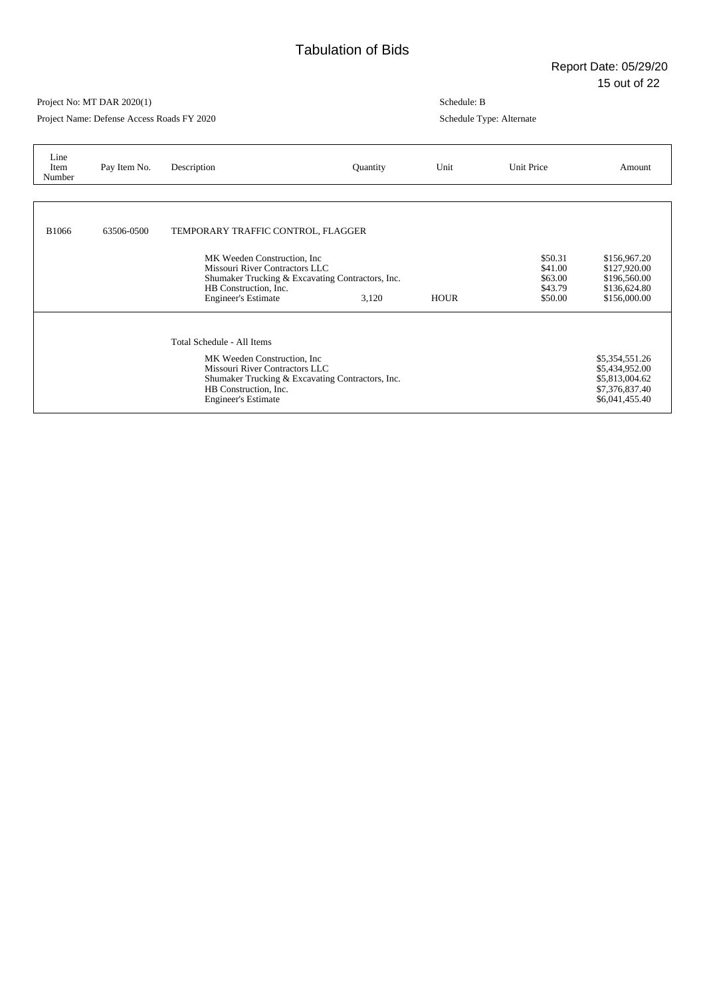Project Name: Defense Access Roads FY 2020

| Line<br>Item<br>Number | Pay Item No. | Description                                                                                                                                                                                             | Quantity | Unit        | Unit Price                                          | Amount                                                                                 |
|------------------------|--------------|---------------------------------------------------------------------------------------------------------------------------------------------------------------------------------------------------------|----------|-------------|-----------------------------------------------------|----------------------------------------------------------------------------------------|
|                        |              |                                                                                                                                                                                                         |          |             |                                                     |                                                                                        |
| <b>B1066</b>           | 63506-0500   | TEMPORARY TRAFFIC CONTROL, FLAGGER                                                                                                                                                                      |          |             |                                                     |                                                                                        |
|                        |              | MK Weeden Construction, Inc.<br>Missouri River Contractors LLC<br>Shumaker Trucking & Excavating Contractors, Inc.<br>HB Construction, Inc.<br><b>Engineer's Estimate</b>                               | 3,120    | <b>HOUR</b> | \$50.31<br>\$41.00<br>\$63.00<br>\$43.79<br>\$50.00 | \$156,967.20<br>\$127,920.00<br>\$196,560.00<br>\$136,624.80<br>\$156,000.00           |
|                        |              | Total Schedule - All Items<br>MK Weeden Construction, Inc.<br>Missouri River Contractors LLC<br>Shumaker Trucking & Excavating Contractors, Inc.<br>HB Construction, Inc.<br><b>Engineer's Estimate</b> |          |             |                                                     | \$5,354,551.26<br>\$5,434,952.00<br>\$5,813,004.62<br>\$7,376,837.40<br>\$6,041,455.40 |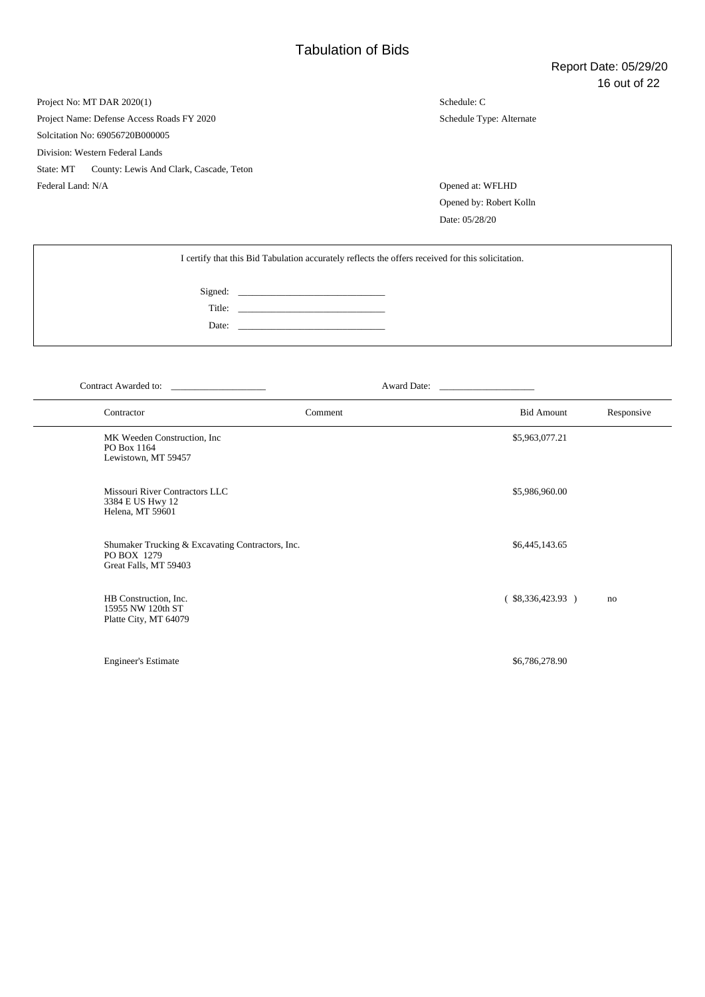Project No: MT DAR 2020(1) Project Name: Defense Access Roads FY 2020 Solcitation No: 69056720B000005 Division: Western Federal Lands State: MT County: Lewis And Clark, Cascade, Teton Federal Land: N/A Opened at: WFLHD

Schedule: C Schedule Type: Alternate

Opened by: Robert Kolln Date: 05/28/20

| I certify that this Bid Tabulation accurately reflects the offers received for this solicitation. |       |  |  |  |  |  |
|---------------------------------------------------------------------------------------------------|-------|--|--|--|--|--|
|                                                                                                   |       |  |  |  |  |  |
|                                                                                                   |       |  |  |  |  |  |
|                                                                                                   | Date: |  |  |  |  |  |
|                                                                                                   |       |  |  |  |  |  |

Contract Awarded to: \_\_\_\_\_\_\_\_\_\_\_\_\_\_\_\_\_\_\_\_ Award Date: \_\_\_\_\_\_\_\_\_\_\_\_\_\_\_\_\_\_\_\_

| Contractor                                                                               | Comment | <b>Bid Amount</b>      | Responsive |
|------------------------------------------------------------------------------------------|---------|------------------------|------------|
| MK Weeden Construction, Inc.<br>PO Box 1164<br>Lewistown, MT 59457                       |         | \$5,963,077.21         |            |
| Missouri River Contractors LLC<br>3384 E US Hwy 12<br>Helena, MT 59601                   |         | \$5,986,960.00         |            |
| Shumaker Trucking & Excavating Contractors, Inc.<br>PO BOX 1279<br>Great Falls, MT 59403 |         | \$6,445,143.65         |            |
| HB Construction, Inc.<br>15955 NW 120th ST<br>Platte City, MT 64079                      |         | $($ \$8,336,423.93 $)$ | no         |
| <b>Engineer's Estimate</b>                                                               |         | \$6,786,278.90         |            |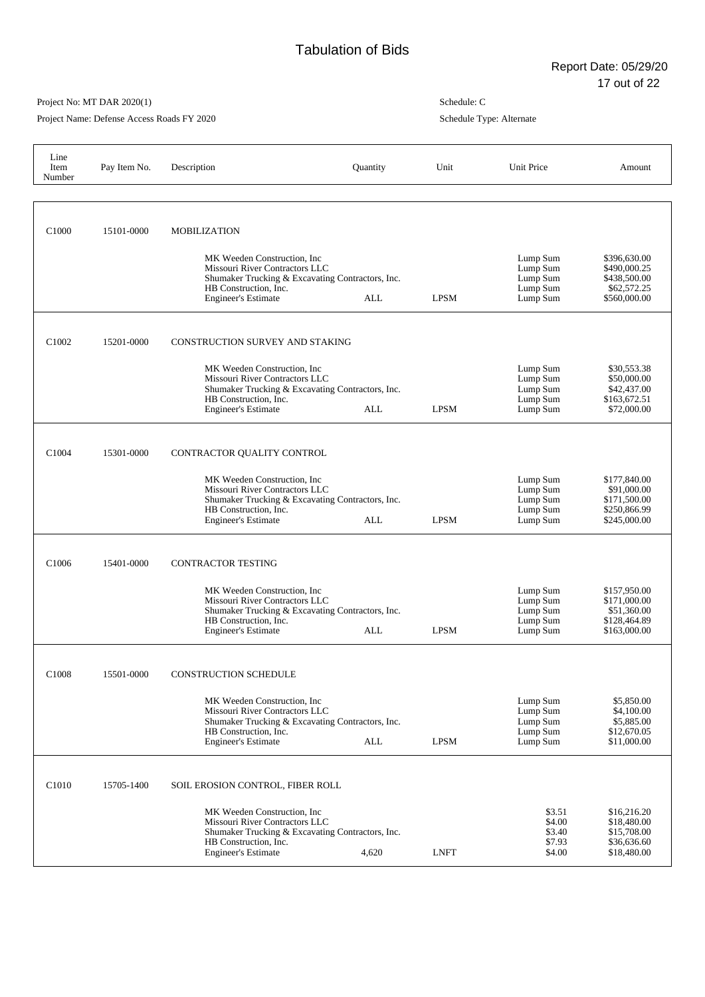Project Name: Defense Access Roads FY 2020

| Line<br>Item<br>Number | Pay Item No. | Description                                                                                                                                                                                                         | Quantity   | Unit        | Unit Price                                               | Amount                                                                      |
|------------------------|--------------|---------------------------------------------------------------------------------------------------------------------------------------------------------------------------------------------------------------------|------------|-------------|----------------------------------------------------------|-----------------------------------------------------------------------------|
| C <sub>1000</sub>      | 15101-0000   | <b>MOBILIZATION</b><br>MK Weeden Construction, Inc.<br>Missouri River Contractors LLC<br>Shumaker Trucking & Excavating Contractors, Inc.<br>HB Construction, Inc.<br><b>Engineer's Estimate</b>                    | ALL        | <b>LPSM</b> | Lump Sum<br>Lump Sum<br>Lump Sum<br>Lump Sum<br>Lump Sum | \$396,630.00<br>\$490,000.25<br>\$438,500.00<br>\$62,572.25<br>\$560,000.00 |
| C <sub>1002</sub>      | 15201-0000   | <b>CONSTRUCTION SURVEY AND STAKING</b><br>MK Weeden Construction, Inc.<br>Missouri River Contractors LLC<br>Shumaker Trucking & Excavating Contractors, Inc.<br>HB Construction, Inc.<br><b>Engineer's Estimate</b> | ALL        | <b>LPSM</b> | Lump Sum<br>Lump Sum<br>Lump Sum<br>Lump Sum<br>Lump Sum | \$30,553.38<br>\$50,000.00<br>\$42,437.00<br>\$163,672.51<br>\$72,000.00    |
| C <sub>1004</sub>      | 15301-0000   | CONTRACTOR QUALITY CONTROL<br>MK Weeden Construction. Inc.<br>Missouri River Contractors LLC<br>Shumaker Trucking & Excavating Contractors, Inc.<br>HB Construction, Inc.<br><b>Engineer's Estimate</b>             | ALL        | <b>LPSM</b> | Lump Sum<br>Lump Sum<br>Lump Sum<br>Lump Sum<br>Lump Sum | \$177,840.00<br>\$91,000.00<br>\$171,500.00<br>\$250,866.99<br>\$245,000.00 |
| C <sub>1006</sub>      | 15401-0000   | <b>CONTRACTOR TESTING</b><br>MK Weeden Construction, Inc.<br>Missouri River Contractors LLC<br>Shumaker Trucking & Excavating Contractors, Inc.<br>HB Construction, Inc.<br><b>Engineer's Estimate</b>              | ALL        | <b>LPSM</b> | Lump Sum<br>Lump Sum<br>Lump Sum<br>Lump Sum<br>Lump Sum | \$157,950.00<br>\$171,000.00<br>\$51,360.00<br>\$128,464.89<br>\$163,000.00 |
| C1008                  | 15501-0000   | CONSTRUCTION SCHEDULE<br>MK Weeden Construction, Inc.<br>Missouri River Contractors LLC<br>Shumaker Trucking & Excavating Contractors, Inc.<br>HB Construction, Inc.<br><b>Engineer's Estimate</b>                  | <b>ALL</b> | <b>LPSM</b> | Lump Sum<br>Lump Sum<br>Lump Sum<br>Lump Sum<br>Lump Sum | \$5,850.00<br>\$4,100.00<br>\$5,885.00<br>\$12,670.05<br>\$11,000.00        |
| C <sub>1010</sub>      | 15705-1400   | SOIL EROSION CONTROL, FIBER ROLL<br>MK Weeden Construction, Inc.<br>Missouri River Contractors LLC<br>Shumaker Trucking & Excavating Contractors, Inc.<br>HB Construction, Inc.<br><b>Engineer's Estimate</b>       | 4,620      | <b>LNFT</b> | \$3.51<br>\$4.00<br>\$3.40<br>\$7.93<br>\$4.00           | \$16,216.20<br>\$18,480.00<br>\$15,708.00<br>\$36,636.60<br>\$18,480.00     |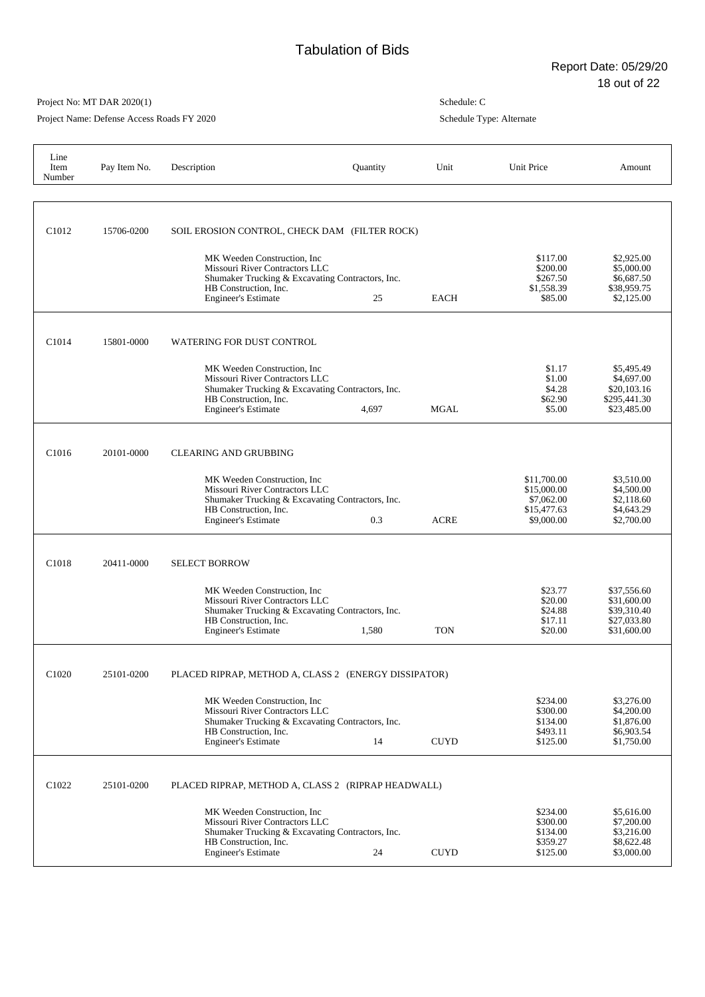## Project No: MT DAR 2020(1)

Project Name: Defense Access Roads FY 2020

| Line<br>Item<br>Number | Pay Item No. | Description                                                                                                                                                               | Quantity | Unit        | Unit Price                                                            | Amount                                                                  |
|------------------------|--------------|---------------------------------------------------------------------------------------------------------------------------------------------------------------------------|----------|-------------|-----------------------------------------------------------------------|-------------------------------------------------------------------------|
| C <sub>1012</sub>      | 15706-0200   | SOIL EROSION CONTROL, CHECK DAM (FILTER ROCK)                                                                                                                             |          |             |                                                                       |                                                                         |
|                        |              | MK Weeden Construction, Inc<br>Missouri River Contractors LLC<br>Shumaker Trucking & Excavating Contractors, Inc.<br>HB Construction, Inc.<br><b>Engineer's Estimate</b>  | 25       | <b>EACH</b> | \$117.00<br>\$200.00<br>\$267.50<br>\$1,558.39<br>\$85.00             | \$2,925.00<br>\$5,000.00<br>\$6,687.50<br>\$38,959.75<br>\$2,125.00     |
| C <sub>1014</sub>      | 15801-0000   | <b>WATERING FOR DUST CONTROL</b>                                                                                                                                          |          |             |                                                                       |                                                                         |
|                        |              | MK Weeden Construction, Inc.<br>Missouri River Contractors LLC<br>Shumaker Trucking & Excavating Contractors, Inc.<br>HB Construction, Inc.<br><b>Engineer's Estimate</b> | 4,697    | <b>MGAL</b> | \$1.17<br>\$1.00<br>\$4.28<br>\$62.90<br>\$5.00                       | \$5,495.49<br>\$4,697.00<br>\$20,103.16<br>\$295,441.30<br>\$23,485.00  |
| C <sub>1016</sub>      | 20101-0000   | <b>CLEARING AND GRUBBING</b>                                                                                                                                              |          |             |                                                                       |                                                                         |
|                        |              | MK Weeden Construction, Inc.<br>Missouri River Contractors LLC<br>Shumaker Trucking & Excavating Contractors, Inc.<br>HB Construction, Inc.<br><b>Engineer's Estimate</b> | 0.3      | ACRE        | \$11,700.00<br>\$15,000.00<br>\$7,062.00<br>\$15,477.63<br>\$9,000.00 | \$3,510.00<br>\$4,500.00<br>\$2,118.60<br>\$4,643.29<br>\$2,700.00      |
| C <sub>1018</sub>      | 20411-0000   | <b>SELECT BORROW</b>                                                                                                                                                      |          |             |                                                                       |                                                                         |
|                        |              | MK Weeden Construction, Inc.<br>Missouri River Contractors LLC<br>Shumaker Trucking & Excavating Contractors, Inc.<br>HB Construction, Inc.<br><b>Engineer's Estimate</b> | 1,580    | <b>TON</b>  | \$23.77<br>\$20.00<br>\$24.88<br>\$17.11<br>\$20.00                   | \$37,556.60<br>\$31,600.00<br>\$39,310.40<br>\$27,033.80<br>\$31,600.00 |
| C1020                  | 25101-0200   | PLACED RIPRAP, METHOD A, CLASS 2 (ENERGY DISSIPATOR)                                                                                                                      |          |             |                                                                       |                                                                         |
|                        |              | MK Weeden Construction, Inc.<br>Missouri River Contractors LLC<br>Shumaker Trucking & Excavating Contractors, Inc.<br>HB Construction, Inc.<br><b>Engineer's Estimate</b> | 14       | <b>CUYD</b> | \$234.00<br>\$300.00<br>\$134.00<br>\$493.11<br>\$125.00              | \$3,276.00<br>\$4,200.00<br>\$1,876.00<br>\$6,903.54<br>\$1,750.00      |
| C1022                  | 25101-0200   | PLACED RIPRAP, METHOD A, CLASS 2 (RIPRAP HEADWALL)                                                                                                                        |          |             |                                                                       |                                                                         |
|                        |              | MK Weeden Construction, Inc.<br>Missouri River Contractors LLC<br>Shumaker Trucking & Excavating Contractors, Inc.<br>HB Construction, Inc.<br><b>Engineer's Estimate</b> | 24       | <b>CUYD</b> | \$234.00<br>\$300.00<br>\$134.00<br>\$359.27<br>\$125.00              | \$5,616.00<br>\$7,200.00<br>\$3,216.00<br>\$8,622.48<br>\$3,000.00      |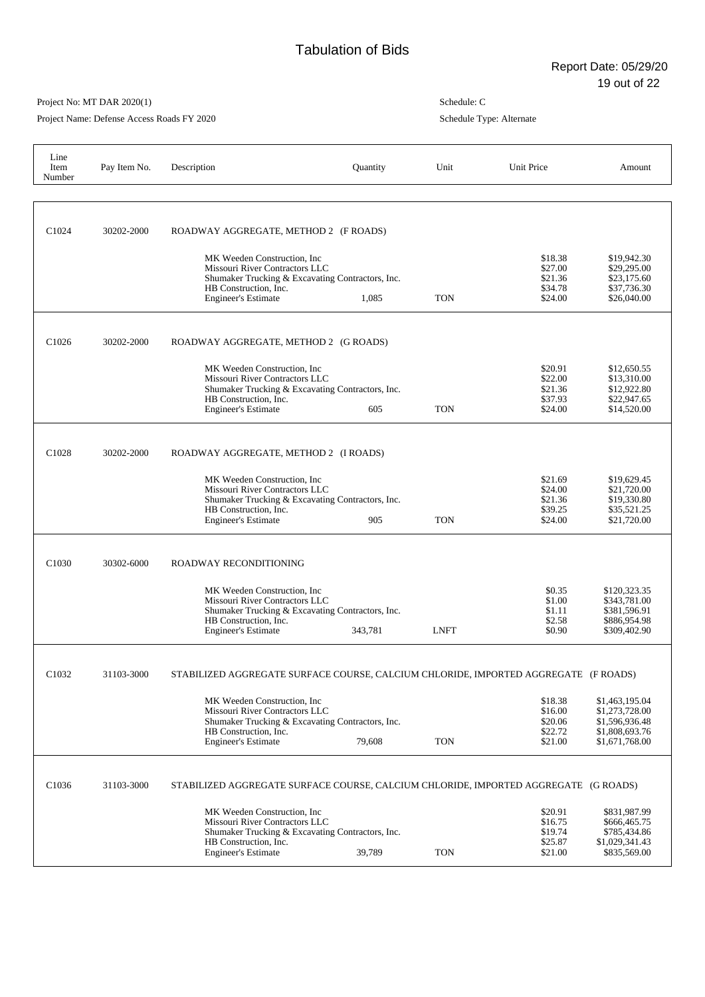Project Name: Defense Access Roads FY 2020

| Line<br>Item<br>Number | Pay Item No. | Description                                                                                                                                                               | Quantity | Unit        | Unit Price                                          | Amount                                                                                 |
|------------------------|--------------|---------------------------------------------------------------------------------------------------------------------------------------------------------------------------|----------|-------------|-----------------------------------------------------|----------------------------------------------------------------------------------------|
| C <sub>1024</sub>      | 30202-2000   | ROADWAY AGGREGATE, METHOD 2 (F ROADS)                                                                                                                                     |          |             |                                                     |                                                                                        |
|                        |              | MK Weeden Construction, Inc.<br>Missouri River Contractors LLC<br>Shumaker Trucking & Excavating Contractors, Inc.<br>HB Construction, Inc.<br><b>Engineer's Estimate</b> | 1,085    | <b>TON</b>  | \$18.38<br>\$27.00<br>\$21.36<br>\$34.78<br>\$24.00 | \$19,942.30<br>\$29,295.00<br>\$23,175.60<br>\$37,736.30<br>\$26,040.00                |
| C <sub>1026</sub>      | 30202-2000   | ROADWAY AGGREGATE, METHOD 2 (G ROADS)                                                                                                                                     |          |             |                                                     |                                                                                        |
|                        |              | MK Weeden Construction, Inc.<br>Missouri River Contractors LLC<br>Shumaker Trucking & Excavating Contractors, Inc.<br>HB Construction, Inc.<br><b>Engineer's Estimate</b> | 605      | <b>TON</b>  | \$20.91<br>\$22.00<br>\$21.36<br>\$37.93<br>\$24.00 | \$12,650.55<br>\$13,310.00<br>\$12,922.80<br>\$22,947.65<br>\$14,520.00                |
| C <sub>1028</sub>      | 30202-2000   | ROADWAY AGGREGATE, METHOD 2 (I ROADS)                                                                                                                                     |          |             |                                                     |                                                                                        |
|                        |              | MK Weeden Construction. Inc.<br>Missouri River Contractors LLC<br>Shumaker Trucking & Excavating Contractors, Inc.<br>HB Construction, Inc.<br><b>Engineer's Estimate</b> | 905      | <b>TON</b>  | \$21.69<br>\$24.00<br>\$21.36<br>\$39.25<br>\$24.00 | \$19,629.45<br>\$21,720.00<br>\$19,330.80<br>\$35,521.25<br>\$21,720.00                |
| C <sub>1030</sub>      | 30302-6000   | ROADWAY RECONDITIONING                                                                                                                                                    |          |             |                                                     |                                                                                        |
|                        |              | MK Weeden Construction, Inc.<br>Missouri River Contractors LLC<br>Shumaker Trucking & Excavating Contractors, Inc.<br>HB Construction. Inc.<br><b>Engineer's Estimate</b> | 343,781  | <b>LNFT</b> | \$0.35<br>\$1.00<br>\$1.11<br>\$2.58<br>\$0.90      | \$120,323.35<br>\$343,781.00<br>\$381,596.91<br>\$886,954.98<br>\$309,402.90           |
| C1032                  | 31103-3000   | STABILIZED AGGREGATE SURFACE COURSE, CALCIUM CHLORIDE, IMPORTED AGGREGATE (F ROADS)                                                                                       |          |             |                                                     |                                                                                        |
|                        |              | MK Weeden Construction, Inc.<br>Missouri River Contractors LLC<br>Shumaker Trucking & Excavating Contractors, Inc.<br>HB Construction, Inc.<br><b>Engineer's Estimate</b> | 79,608   | <b>TON</b>  | \$18.38<br>\$16.00<br>\$20.06<br>\$22.72<br>\$21.00 | \$1,463,195.04<br>\$1,273,728.00<br>\$1,596,936.48<br>\$1,808,693.76<br>\$1,671,768.00 |
| C1036                  | 31103-3000   | STABILIZED AGGREGATE SURFACE COURSE, CALCIUM CHLORIDE, IMPORTED AGGREGATE (G ROADS)                                                                                       |          |             |                                                     |                                                                                        |
|                        |              | MK Weeden Construction, Inc.<br>Missouri River Contractors LLC<br>Shumaker Trucking & Excavating Contractors, Inc.<br>HB Construction, Inc.<br><b>Engineer's Estimate</b> | 39,789   | <b>TON</b>  | \$20.91<br>\$16.75<br>\$19.74<br>\$25.87<br>\$21.00 | \$831,987.99<br>\$666,465.75<br>\$785,434.86<br>\$1,029,341.43<br>\$835,569.00         |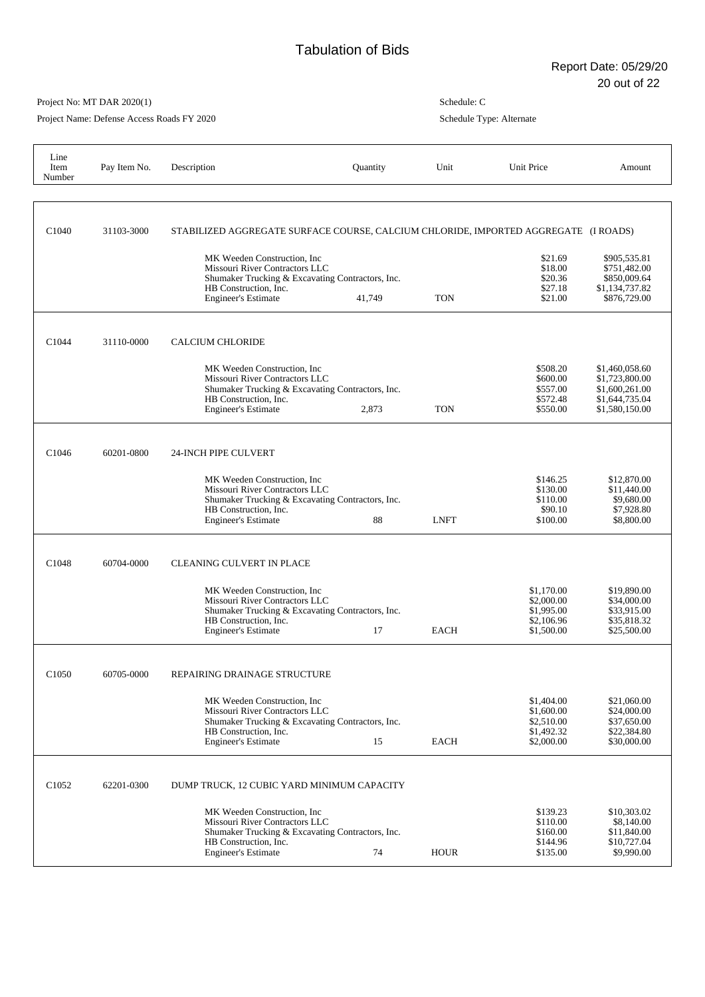Project Name: Defense Access Roads FY 2020

| Line<br>Item<br>Number | Pay Item No. | Description                                                                                                                                                               | Quantity | Unit        | Unit Price                                                         | Amount                                                                                 |
|------------------------|--------------|---------------------------------------------------------------------------------------------------------------------------------------------------------------------------|----------|-------------|--------------------------------------------------------------------|----------------------------------------------------------------------------------------|
| C <sub>1040</sub>      | 31103-3000   | STABILIZED AGGREGATE SURFACE COURSE, CALCIUM CHLORIDE, IMPORTED AGGREGATE (I ROADS)                                                                                       |          |             |                                                                    |                                                                                        |
|                        |              | MK Weeden Construction, Inc<br>Missouri River Contractors LLC<br>Shumaker Trucking & Excavating Contractors, Inc.<br>HB Construction, Inc.<br><b>Engineer's Estimate</b>  | 41,749   | <b>TON</b>  | \$21.69<br>\$18.00<br>\$20.36<br>\$27.18<br>\$21.00                | \$905,535.81<br>\$751.482.00<br>\$850,009.64<br>\$1,134,737.82<br>\$876,729.00         |
| C1044                  | 31110-0000   | <b>CALCIUM CHLORIDE</b>                                                                                                                                                   |          |             |                                                                    |                                                                                        |
|                        |              | MK Weeden Construction, Inc.<br>Missouri River Contractors LLC<br>Shumaker Trucking & Excavating Contractors, Inc.<br>HB Construction, Inc.<br><b>Engineer's Estimate</b> | 2,873    | <b>TON</b>  | \$508.20<br>\$600.00<br>\$557.00<br>\$572.48<br>\$550.00           | \$1,460,058.60<br>\$1,723,800.00<br>\$1,600,261.00<br>\$1,644,735.04<br>\$1,580,150.00 |
| C1046                  | 60201-0800   | <b>24-INCH PIPE CULVERT</b>                                                                                                                                               |          |             |                                                                    |                                                                                        |
|                        |              | MK Weeden Construction, Inc.<br>Missouri River Contractors LLC<br>Shumaker Trucking & Excavating Contractors, Inc.<br>HB Construction, Inc.<br><b>Engineer's Estimate</b> | 88       | <b>LNFT</b> | \$146.25<br>\$130.00<br>\$110.00<br>\$90.10<br>\$100.00            | \$12,870.00<br>\$11,440.00<br>\$9,680.00<br>\$7,928.80<br>\$8,800.00                   |
| C1048                  | 60704-0000   | <b>CLEANING CULVERT IN PLACE</b>                                                                                                                                          |          |             |                                                                    |                                                                                        |
|                        |              | MK Weeden Construction, Inc.<br>Missouri River Contractors LLC<br>Shumaker Trucking & Excavating Contractors, Inc.<br>HB Construction, Inc.<br><b>Engineer's Estimate</b> | 17       | <b>EACH</b> | \$1,170.00<br>\$2,000.00<br>\$1,995.00<br>\$2,106.96<br>\$1,500.00 | \$19,890.00<br>\$34,000.00<br>\$33,915.00<br>\$35,818.32<br>\$25,500.00                |
| C1050                  | 60705-0000   | REPAIRING DRAINAGE STRUCTURE                                                                                                                                              |          |             |                                                                    |                                                                                        |
|                        |              | MK Weeden Construction, Inc.<br>Missouri River Contractors LLC<br>Shumaker Trucking & Excavating Contractors, Inc.<br>HB Construction, Inc.<br><b>Engineer's Estimate</b> | 15       | <b>EACH</b> | \$1,404.00<br>\$1,600.00<br>\$2,510.00<br>\$1,492.32<br>\$2,000.00 | \$21,060.00<br>\$24,000.00<br>\$37,650.00<br>\$22,384.80<br>\$30,000.00                |
| C1052                  | 62201-0300   | DUMP TRUCK, 12 CUBIC YARD MINIMUM CAPACITY                                                                                                                                |          |             |                                                                    |                                                                                        |
|                        |              | MK Weeden Construction, Inc.<br>Missouri River Contractors LLC<br>Shumaker Trucking & Excavating Contractors, Inc.<br>HB Construction, Inc.<br><b>Engineer's Estimate</b> | 74       | <b>HOUR</b> | \$139.23<br>\$110.00<br>\$160.00<br>\$144.96<br>\$135.00           | \$10,303.02<br>\$8,140.00<br>\$11,840.00<br>\$10,727.04<br>\$9,990.00                  |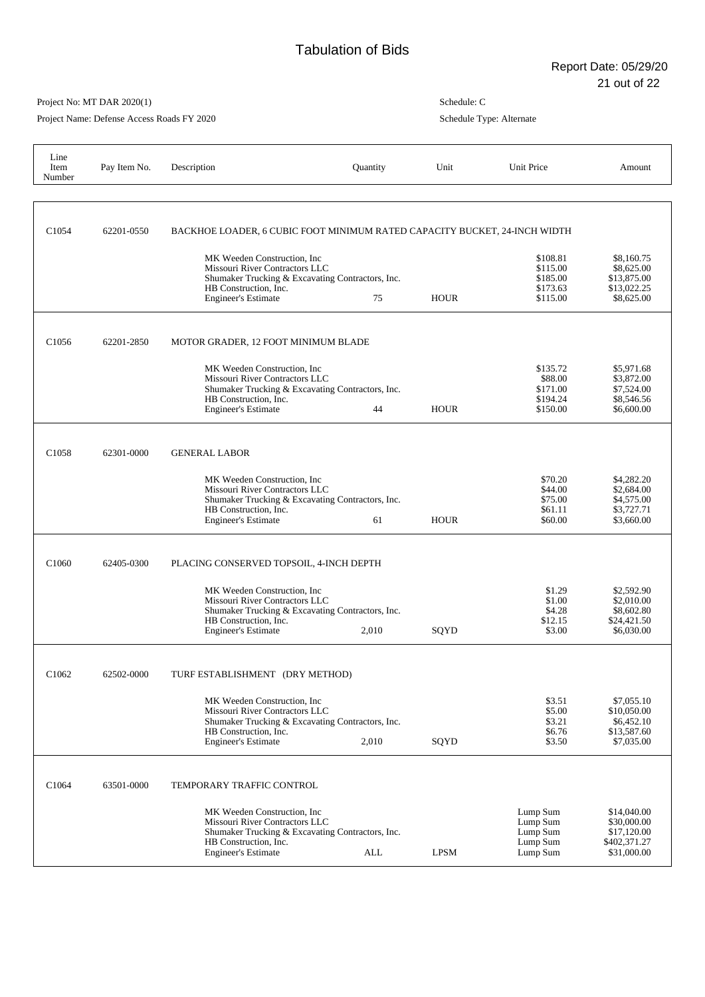Project Name: Defense Access Roads FY 2020

| Line<br>Item<br>Number | Pay Item No. | Description                                                                                                                                                               | Quantity   | Unit        | Unit Price                                               | Amount                                                                   |
|------------------------|--------------|---------------------------------------------------------------------------------------------------------------------------------------------------------------------------|------------|-------------|----------------------------------------------------------|--------------------------------------------------------------------------|
| C <sub>1054</sub>      | 62201-0550   | BACKHOE LOADER, 6 CUBIC FOOT MINIMUM RATED CAPACITY BUCKET, 24-INCH WIDTH                                                                                                 |            |             |                                                          |                                                                          |
|                        |              | MK Weeden Construction, Inc.<br>Missouri River Contractors LLC<br>Shumaker Trucking & Excavating Contractors, Inc.<br>HB Construction, Inc.<br><b>Engineer's Estimate</b> | 75         | <b>HOUR</b> | \$108.81<br>\$115.00<br>\$185.00<br>\$173.63<br>\$115.00 | \$8,160.75<br>\$8,625.00<br>\$13,875.00<br>\$13,022.25<br>\$8,625.00     |
| C <sub>1056</sub>      | 62201-2850   | MOTOR GRADER, 12 FOOT MINIMUM BLADE                                                                                                                                       |            |             |                                                          |                                                                          |
|                        |              | MK Weeden Construction, Inc.<br>Missouri River Contractors LLC<br>Shumaker Trucking & Excavating Contractors, Inc.<br>HB Construction, Inc.<br><b>Engineer's Estimate</b> | 44         | <b>HOUR</b> | \$135.72<br>\$88.00<br>\$171.00<br>\$194.24<br>\$150.00  | \$5,971.68<br>\$3,872.00<br>\$7,524.00<br>\$8,546.56<br>\$6,600.00       |
| C <sub>1058</sub>      | 62301-0000   | <b>GENERAL LABOR</b>                                                                                                                                                      |            |             |                                                          |                                                                          |
|                        |              | MK Weeden Construction, Inc.<br>Missouri River Contractors LLC<br>Shumaker Trucking & Excavating Contractors, Inc.<br>HB Construction, Inc.<br><b>Engineer's Estimate</b> | 61         | <b>HOUR</b> | \$70.20<br>\$44.00<br>\$75.00<br>\$61.11<br>\$60.00      | \$4,282.20<br>\$2,684.00<br>\$4,575.00<br>\$3,727.71<br>\$3,660.00       |
| C <sub>1060</sub>      | 62405-0300   | PLACING CONSERVED TOPSOIL, 4-INCH DEPTH                                                                                                                                   |            |             |                                                          |                                                                          |
|                        |              | MK Weeden Construction, Inc.<br>Missouri River Contractors LLC<br>Shumaker Trucking & Excavating Contractors, Inc.<br>HB Construction, Inc.<br><b>Engineer's Estimate</b> | 2,010      | SQYD        | \$1.29<br>\$1.00<br>\$4.28<br>\$12.15<br>\$3.00          | \$2,592.90<br>\$2,010.00<br>\$8,602.80<br>\$24,421.50<br>\$6,030.00      |
| C1062                  | 62502-0000   | TURF ESTABLISHMENT (DRY METHOD)                                                                                                                                           |            |             |                                                          |                                                                          |
|                        |              | MK Weeden Construction, Inc.<br>Missouri River Contractors LLC<br>Shumaker Trucking & Excavating Contractors, Inc.<br>HB Construction, Inc.<br><b>Engineer's Estimate</b> | 2,010      | SQYD        | \$3.51<br>\$5.00<br>\$3.21<br>\$6.76<br>\$3.50           | \$7,055.10<br>\$10,050.00<br>\$6,452.10<br>\$13,587.60<br>\$7,035.00     |
| C1064                  | 63501-0000   | TEMPORARY TRAFFIC CONTROL                                                                                                                                                 |            |             |                                                          |                                                                          |
|                        |              | MK Weeden Construction, Inc.<br>Missouri River Contractors LLC<br>Shumaker Trucking & Excavating Contractors, Inc.<br>HB Construction, Inc.<br><b>Engineer's Estimate</b> | <b>ALL</b> | <b>LPSM</b> | Lump Sum<br>Lump Sum<br>Lump Sum<br>Lump Sum<br>Lump Sum | \$14,040.00<br>\$30,000.00<br>\$17,120.00<br>\$402,371.27<br>\$31,000.00 |